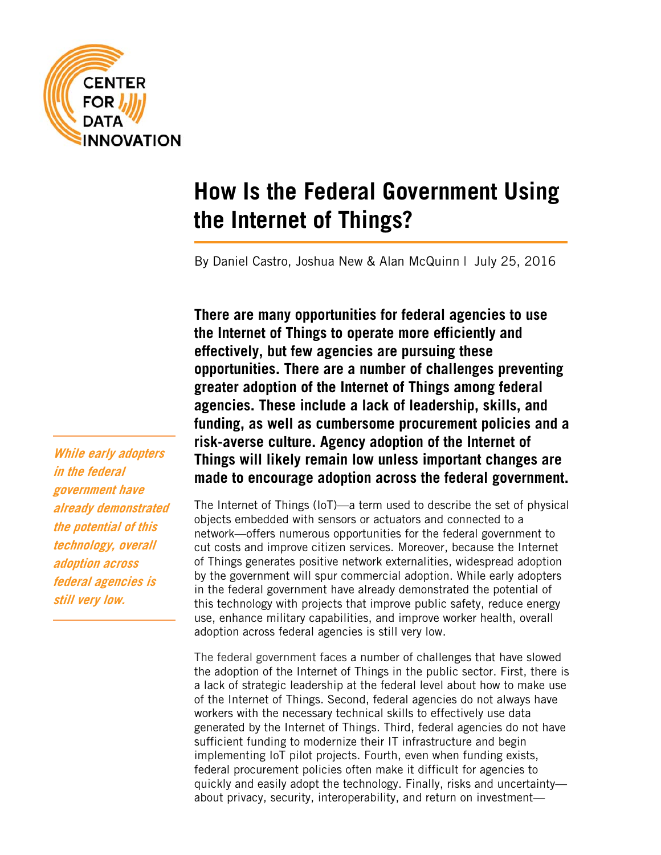

# **How Is the Federal Government Using the Internet of Things?**

By Daniel Castro, Joshua New & Alan McQuinn | July 25, 2016

**There are many opportunities for federal agencies to use the Internet of Things to operate more efficiently and effectively, but few agencies are pursuing these opportunities. There are a number of challenges preventing greater adoption of the Internet of Things among federal agencies. These include a lack of leadership, skills, and funding, as well as cumbersome procurement policies and a risk-averse culture. Agency adoption of the Internet of Things will likely remain low unless important changes are made to encourage adoption across the federal government.** 

The Internet of Things (IoT)—a term used to describe the set of physical objects embedded with sensors or actuators and connected to a network—offers numerous opportunities for the federal government to cut costs and improve citizen services. Moreover, because the Internet of Things generates positive network externalities, widespread adoption by the government will spur commercial adoption. While early adopters in the federal government have already demonstrated the potential of this technology with projects that improve public safety, reduce energy use, enhance military capabilities, and improve worker health, overall adoption across federal agencies is still very low.

The federal government faces a number of challenges that have slowed the adoption of the Internet of Things in the public sector. First, there is a lack of strategic leadership at the federal level about how to make use of the Internet of Things. Second, federal agencies do not always have workers with the necessary technical skills to effectively use data generated by the Internet of Things. Third, federal agencies do not have sufficient funding to modernize their IT infrastructure and begin implementing IoT pilot projects. Fourth, even when funding exists, federal procurement policies often make it difficult for agencies to quickly and easily adopt the technology. Finally, risks and uncertainty about privacy, security, interoperability, and return on investment—

**While early adopters in the federal government have already demonstrated the potential of this technology, overall adoption across federal agencies is still very low.**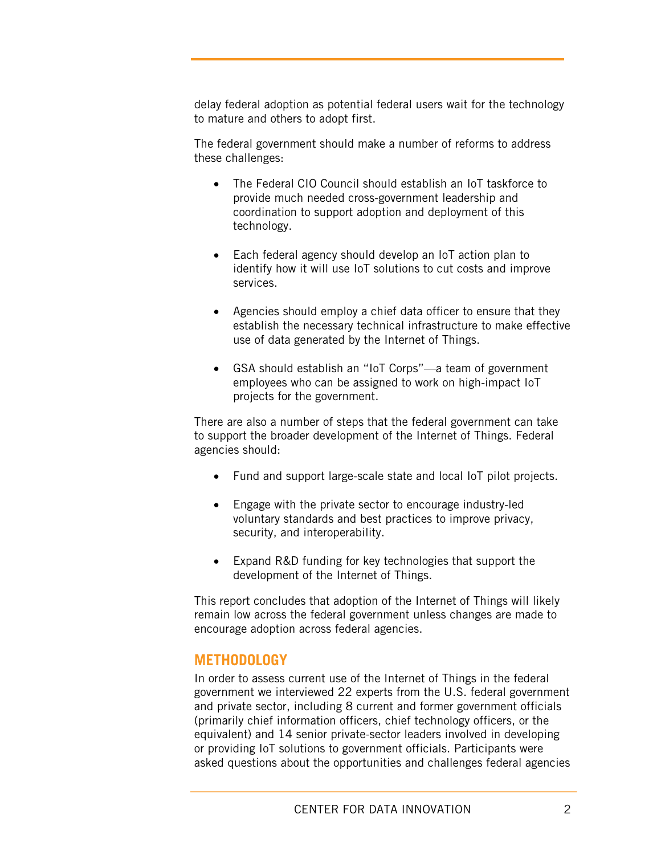delay federal adoption as potential federal users wait for the technology to mature and others to adopt first.

The federal government should make a number of reforms to address these challenges:

- The Federal CIO Council should establish an IoT taskforce to provide much needed cross-government leadership and coordination to support adoption and deployment of this technology.
- Each federal agency should develop an IoT action plan to identify how it will use IoT solutions to cut costs and improve services.
- Agencies should employ a chief data officer to ensure that they establish the necessary technical infrastructure to make effective use of data generated by the Internet of Things.
- GSA should establish an "IoT Corps"—a team of government employees who can be assigned to work on high-impact IoT projects for the government.

There are also a number of steps that the federal government can take to support the broader development of the Internet of Things. Federal agencies should:

- Fund and support large-scale state and local IoT pilot projects.
- Engage with the private sector to encourage industry-led voluntary standards and best practices to improve privacy, security, and interoperability.
- Expand R&D funding for key technologies that support the development of the Internet of Things.

This report concludes that adoption of the Internet of Things will likely remain low across the federal government unless changes are made to encourage adoption across federal agencies.

# **METHODOLOGY**

In order to assess current use of the Internet of Things in the federal government we interviewed 22 experts from the U.S. federal government and private sector, including 8 current and former government officials (primarily chief information officers, chief technology officers, or the equivalent) and 14 senior private-sector leaders involved in developing or providing IoT solutions to government officials. Participants were asked questions about the opportunities and challenges federal agencies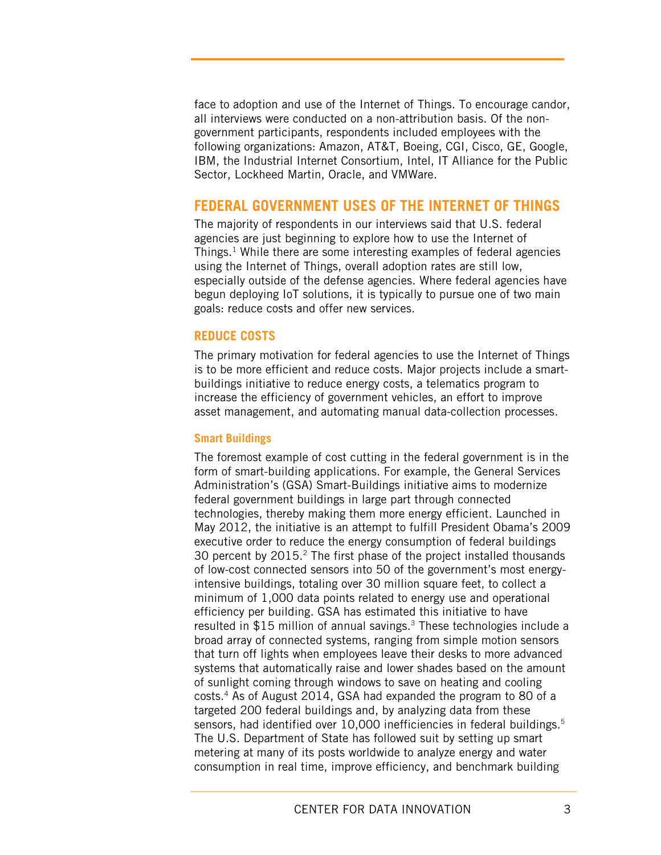face to adoption and use of the Internet of Things. To encourage candor, all interviews were conducted on a non-attribution basis. Of the nongovernment participants, respondents included employees with the following organizations: Amazon, AT&T, Boeing, CGI, Cisco, GE, Google, IBM, the Industrial Internet Consortium, Intel, IT Alliance for the Public Sector, Lockheed Martin, Oracle, and VMWare.

# **FEDERAL GOVERNMENT USES OF THE INTERNET OF THINGS**

The majority of respondents in our interviews said that U.S. federal agencies are just beginning to explore how to use the Internet of Things.<sup>1</sup> While there are some interesting examples of federal agencies using the Internet of Things, overall adoption rates are still low, especially outside of the defense agencies. Where federal agencies have begun deploying IoT solutions, it is typically to pursue one of two main goals: reduce costs and offer new services.

# **REDUCE COSTS**

The primary motivation for federal agencies to use the Internet of Things is to be more efficient and reduce costs. Major projects include a smartbuildings initiative to reduce energy costs, a telematics program to increase the efficiency of government vehicles, an effort to improve asset management, and automating manual data-collection processes.

## **Smart Buildings**

The foremost example of cost cutting in the federal government is in the form of smart-building applications. For example, the General Services Administration's (GSA) Smart-Buildings initiative aims to modernize federal government buildings in large part through connected technologies, thereby making them more energy efficient. Launched in May 2012, the initiative is an attempt to fulfill President Obama's 2009 executive order to reduce the energy consumption of federal buildings 30 percent by  $2015.<sup>2</sup>$  The first phase of the project installed thousands of low-cost connected sensors into 50 of the government's most energyintensive buildings, totaling over 30 million square feet, to collect a minimum of 1,000 data points related to energy use and operational efficiency per building. GSA has estimated this initiative to have resulted in \$15 million of annual savings.<sup>3</sup> These technologies include a broad array of connected systems, ranging from simple motion sensors that turn off lights when employees leave their desks to more advanced systems that automatically raise and lower shades based on the amount of sunlight coming through windows to save on heating and cooling costs.4 As of August 2014, GSA had expanded the program to 80 of a targeted 200 federal buildings and, by analyzing data from these sensors, had identified over 10,000 inefficiencies in federal buildings.<sup>5</sup> The U.S. Department of State has followed suit by setting up smart metering at many of its posts worldwide to analyze energy and water consumption in real time, improve efficiency, and benchmark building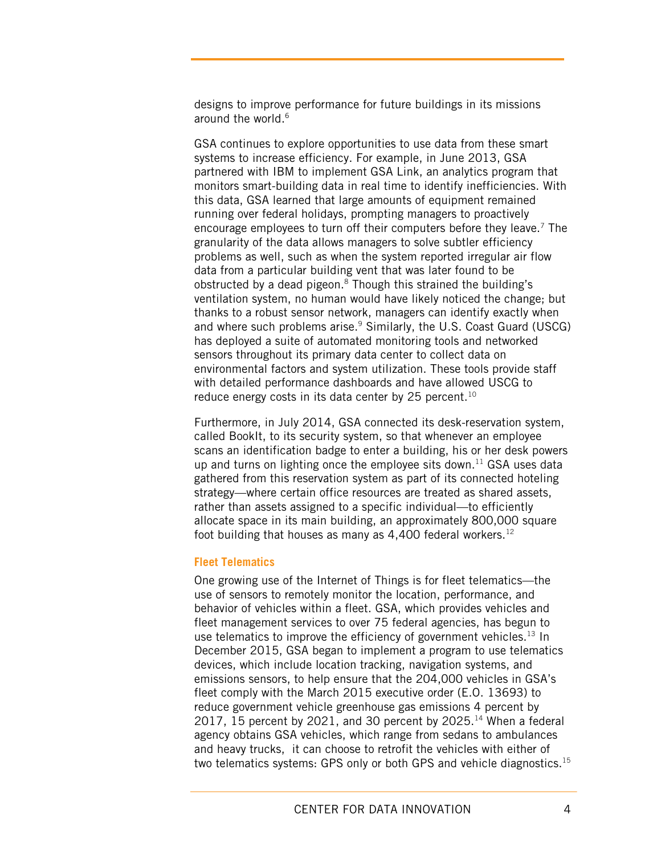designs to improve performance for future buildings in its missions around the world.<sup>6</sup>

GSA continues to explore opportunities to use data from these smart systems to increase efficiency. For example, in June 2013, GSA partnered with IBM to implement GSA Link, an analytics program that monitors smart-building data in real time to identify inefficiencies. With this data, GSA learned that large amounts of equipment remained running over federal holidays, prompting managers to proactively encourage employees to turn off their computers before they leave.<sup>7</sup> The granularity of the data allows managers to solve subtler efficiency problems as well, such as when the system reported irregular air flow data from a particular building vent that was later found to be obstructed by a dead pigeon.<sup>8</sup> Though this strained the building's ventilation system, no human would have likely noticed the change; but thanks to a robust sensor network, managers can identify exactly when and where such problems arise.<sup>9</sup> Similarly, the U.S. Coast Guard (USCG) has deployed a suite of automated monitoring tools and networked sensors throughout its primary data center to collect data on environmental factors and system utilization. These tools provide staff with detailed performance dashboards and have allowed USCG to reduce energy costs in its data center by 25 percent.<sup>10</sup>

Furthermore, in July 2014, GSA connected its desk-reservation system, called BookIt, to its security system, so that whenever an employee scans an identification badge to enter a building, his or her desk powers up and turns on lighting once the employee sits down.<sup>11</sup> GSA uses data gathered from this reservation system as part of its connected hoteling strategy—where certain office resources are treated as shared assets, rather than assets assigned to a specific individual—to efficiently allocate space in its main building, an approximately 800,000 square foot building that houses as many as  $4,400$  federal workers.<sup>12</sup>

#### **Fleet Telematics**

One growing use of the Internet of Things is for fleet telematics—the use of sensors to remotely monitor the location, performance, and behavior of vehicles within a fleet. GSA, which provides vehicles and fleet management services to over 75 federal agencies, has begun to use telematics to improve the efficiency of government vehicles.<sup>13</sup> In December 2015, GSA began to implement a program to use telematics devices, which include location tracking, navigation systems, and emissions sensors, to help ensure that the 204,000 vehicles in GSA's fleet comply with the March 2015 executive order (E.O. 13693) to reduce government vehicle greenhouse gas emissions 4 percent by 2017, 15 percent by 2021, and 30 percent by 2025.<sup>14</sup> When a federal agency obtains GSA vehicles, which range from sedans to ambulances and heavy trucks, it can choose to retrofit the vehicles with either of two telematics systems: GPS only or both GPS and vehicle diagnostics.<sup>15</sup>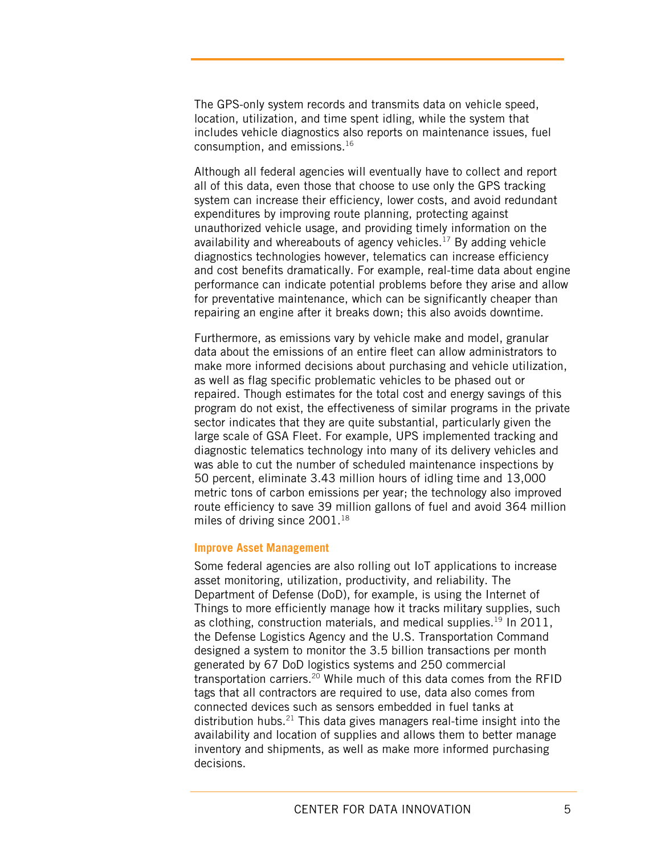The GPS-only system records and transmits data on vehicle speed, location, utilization, and time spent idling, while the system that includes vehicle diagnostics also reports on maintenance issues, fuel consumption, and emissions.16

Although all federal agencies will eventually have to collect and report all of this data, even those that choose to use only the GPS tracking system can increase their efficiency, lower costs, and avoid redundant expenditures by improving route planning, protecting against unauthorized vehicle usage, and providing timely information on the availability and whereabouts of agency vehicles.<sup>17</sup> By adding vehicle diagnostics technologies however, telematics can increase efficiency and cost benefits dramatically. For example, real-time data about engine performance can indicate potential problems before they arise and allow for preventative maintenance, which can be significantly cheaper than repairing an engine after it breaks down; this also avoids downtime.

Furthermore, as emissions vary by vehicle make and model, granular data about the emissions of an entire fleet can allow administrators to make more informed decisions about purchasing and vehicle utilization, as well as flag specific problematic vehicles to be phased out or repaired. Though estimates for the total cost and energy savings of this program do not exist, the effectiveness of similar programs in the private sector indicates that they are quite substantial, particularly given the large scale of GSA Fleet. For example, UPS implemented tracking and diagnostic telematics technology into many of its delivery vehicles and was able to cut the number of scheduled maintenance inspections by 50 percent, eliminate 3.43 million hours of idling time and 13,000 metric tons of carbon emissions per year; the technology also improved route efficiency to save 39 million gallons of fuel and avoid 364 million miles of driving since 2001.<sup>18</sup>

#### **Improve Asset Management**

Some federal agencies are also rolling out IoT applications to increase asset monitoring, utilization, productivity, and reliability. The Department of Defense (DoD), for example, is using the Internet of Things to more efficiently manage how it tracks military supplies, such as clothing, construction materials, and medical supplies. $19$  In 2011, the Defense Logistics Agency and the U.S. Transportation Command designed a system to monitor the 3.5 billion transactions per month generated by 67 DoD logistics systems and 250 commercial transportation carriers.<sup>20</sup> While much of this data comes from the RFID tags that all contractors are required to use, data also comes from connected devices such as sensors embedded in fuel tanks at distribution hubs.<sup>21</sup> This data gives managers real-time insight into the availability and location of supplies and allows them to better manage inventory and shipments, as well as make more informed purchasing decisions.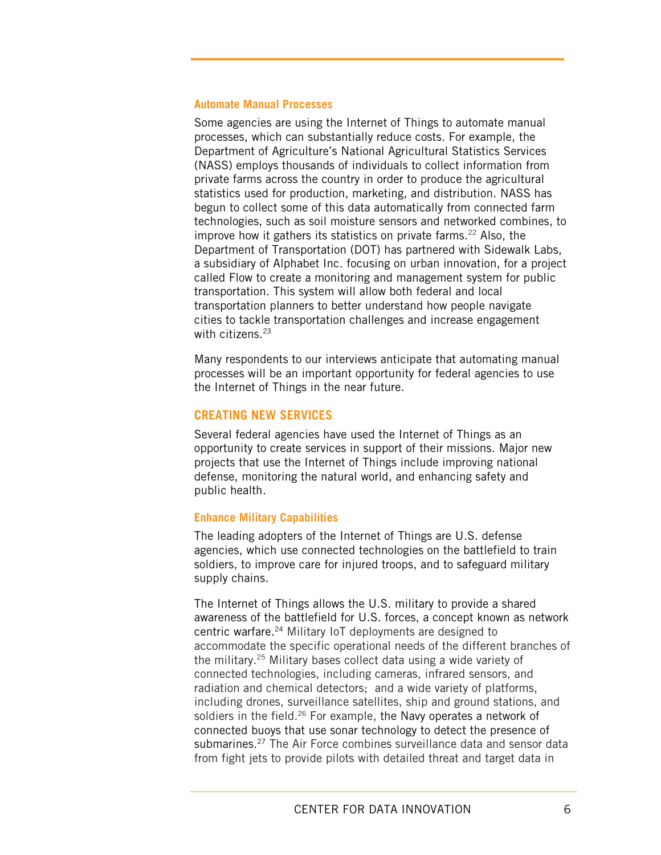#### **Automate Manual Processes**

Some agencies are using the Internet of Things to automate manual processes, which can substantially reduce costs. For example, the Department of Agriculture's National Agricultural Statistics Services (NASS) employs thousands of individuals to collect information from private farms across the country in order to produce the agricultural statistics used for production, marketing, and distribution. NASS has begun to collect some of this data automatically from connected farm technologies, such as soil moisture sensors and networked combines, to improve how it gathers its statistics on private farms.<sup>22</sup> Also, the Department of Transportation (DOT) has partnered with Sidewalk Labs, a subsidiary of Alphabet Inc. focusing on urban innovation, for a project called Flow to create a monitoring and management system for public transportation. This system will allow both federal and local transportation planners to better understand how people navigate cities to tackle transportation challenges and increase engagement with citizens. $23$ 

Many respondents to our interviews anticipate that automating manual processes will be an important opportunity for federal agencies to use the Internet of Things in the near future.

## **CREATING NEW SERVICES**

Several federal agencies have used the Internet of Things as an opportunity to create services in support of their missions. Major new projects that use the Internet of Things include improving national defense, monitoring the natural world, and enhancing safety and public health.

#### **Enhance Military Capabilities**

The leading adopters of the Internet of Things are U.S. defense agencies, which use connected technologies on the battlefield to train soldiers, to improve care for injured troops, and to safeguard military supply chains.

The Internet of Things allows the U.S. military to provide a shared awareness of the battlefield for U.S. forces, a concept known as network centric warfare.24 Military IoT deployments are designed to accommodate the specific operational needs of the different branches of the military.25 Military bases collect data using a wide variety of connected technologies, including cameras, infrared sensors, and radiation and chemical detectors; and a wide variety of platforms, including drones, surveillance satellites, ship and ground stations, and soldiers in the field.<sup>26</sup> For example, the Navy operates a network of connected buoys that use sonar technology to detect the presence of submarines.<sup>27</sup> The Air Force combines surveillance data and sensor data from fight jets to provide pilots with detailed threat and target data in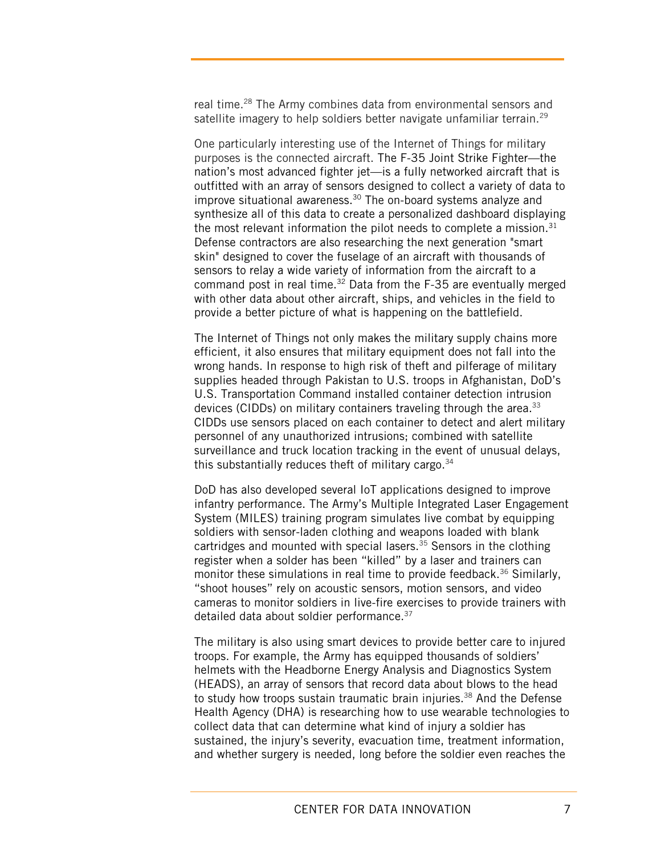real time.<sup>28</sup> The Army combines data from environmental sensors and satellite imagery to help soldiers better navigate unfamiliar terrain.<sup>29</sup>

One particularly interesting use of the Internet of Things for military purposes is the connected aircraft. The F-35 Joint Strike Fighter—the nation's most advanced fighter jet—is a fully networked aircraft that is outfitted with an array of sensors designed to collect a variety of data to improve situational awareness.<sup>30</sup> The on-board systems analyze and synthesize all of this data to create a personalized dashboard displaying the most relevant information the pilot needs to complete a mission. $31$ Defense contractors are also researching the next generation "smart skin" designed to cover the fuselage of an aircraft with thousands of sensors to relay a wide variety of information from the aircraft to a command post in real time. $32$  Data from the F-35 are eventually merged with other data about other aircraft, ships, and vehicles in the field to provide a better picture of what is happening on the battlefield.

The Internet of Things not only makes the military supply chains more efficient, it also ensures that military equipment does not fall into the wrong hands. In response to high risk of theft and pilferage of military supplies headed through Pakistan to U.S. troops in Afghanistan, DoD's U.S. Transportation Command installed container detection intrusion devices (CIDDs) on military containers traveling through the area.<sup>33</sup> CIDDs use sensors placed on each container to detect and alert military personnel of any unauthorized intrusions; combined with satellite surveillance and truck location tracking in the event of unusual delays, this substantially reduces theft of military cargo.  $34$ 

DoD has also developed several IoT applications designed to improve infantry performance. The Army's Multiple Integrated Laser Engagement System (MILES) training program simulates live combat by equipping soldiers with sensor-laden clothing and weapons loaded with blank cartridges and mounted with special lasers.<sup>35</sup> Sensors in the clothing register when a solder has been "killed" by a laser and trainers can monitor these simulations in real time to provide feedback.<sup>36</sup> Similarly, "shoot houses" rely on acoustic sensors, motion sensors, and video cameras to monitor soldiers in live-fire exercises to provide trainers with detailed data about soldier performance.<sup>37</sup>

The military is also using smart devices to provide better care to injured troops. For example, the Army has equipped thousands of soldiers' helmets with the Headborne Energy Analysis and Diagnostics System (HEADS), an array of sensors that record data about blows to the head to study how troops sustain traumatic brain injuries.<sup>38</sup> And the Defense Health Agency (DHA) is researching how to use wearable technologies to collect data that can determine what kind of injury a soldier has sustained, the injury's severity, evacuation time, treatment information, and whether surgery is needed, long before the soldier even reaches the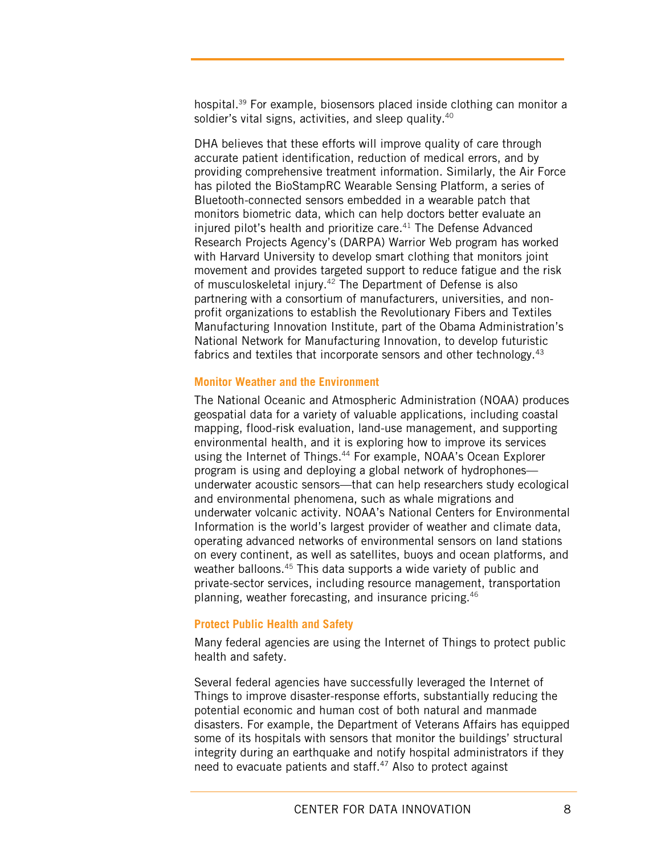hospital.39 For example, biosensors placed inside clothing can monitor a soldier's vital signs, activities, and sleep quality.<sup>40</sup>

DHA believes that these efforts will improve quality of care through accurate patient identification, reduction of medical errors, and by providing comprehensive treatment information. Similarly, the Air Force has piloted the BioStampRC Wearable Sensing Platform, a series of Bluetooth-connected sensors embedded in a wearable patch that monitors biometric data, which can help doctors better evaluate an injured pilot's health and prioritize care. $41$  The Defense Advanced Research Projects Agency's (DARPA) Warrior Web program has worked with Harvard University to develop smart clothing that monitors joint movement and provides targeted support to reduce fatigue and the risk of musculoskeletal injury.<sup>42</sup> The Department of Defense is also partnering with a consortium of manufacturers, universities, and nonprofit organizations to establish the Revolutionary Fibers and Textiles Manufacturing Innovation Institute, part of the Obama Administration's National Network for Manufacturing Innovation, to develop futuristic fabrics and textiles that incorporate sensors and other technology.<sup>43</sup>

#### **Monitor Weather and the Environment**

The National Oceanic and Atmospheric Administration (NOAA) produces geospatial data for a variety of valuable applications, including coastal mapping, flood-risk evaluation, land-use management, and supporting environmental health, and it is exploring how to improve its services using the Internet of Things.<sup>44</sup> For example, NOAA's Ocean Explorer program is using and deploying a global network of hydrophones underwater acoustic sensors—that can help researchers study ecological and environmental phenomena, such as whale migrations and underwater volcanic activity. NOAA's National Centers for Environmental Information is the world's largest provider of weather and climate data, operating advanced networks of environmental sensors on land stations on every continent, as well as satellites, buoys and ocean platforms, and weather balloons.<sup>45</sup> This data supports a wide variety of public and private-sector services, including resource management, transportation planning, weather forecasting, and insurance pricing.46

#### **Protect Public Health and Safety**

Many federal agencies are using the Internet of Things to protect public health and safety.

Several federal agencies have successfully leveraged the Internet of Things to improve disaster-response efforts, substantially reducing the potential economic and human cost of both natural and manmade disasters. For example, the Department of Veterans Affairs has equipped some of its hospitals with sensors that monitor the buildings' structural integrity during an earthquake and notify hospital administrators if they need to evacuate patients and staff.<sup>47</sup> Also to protect against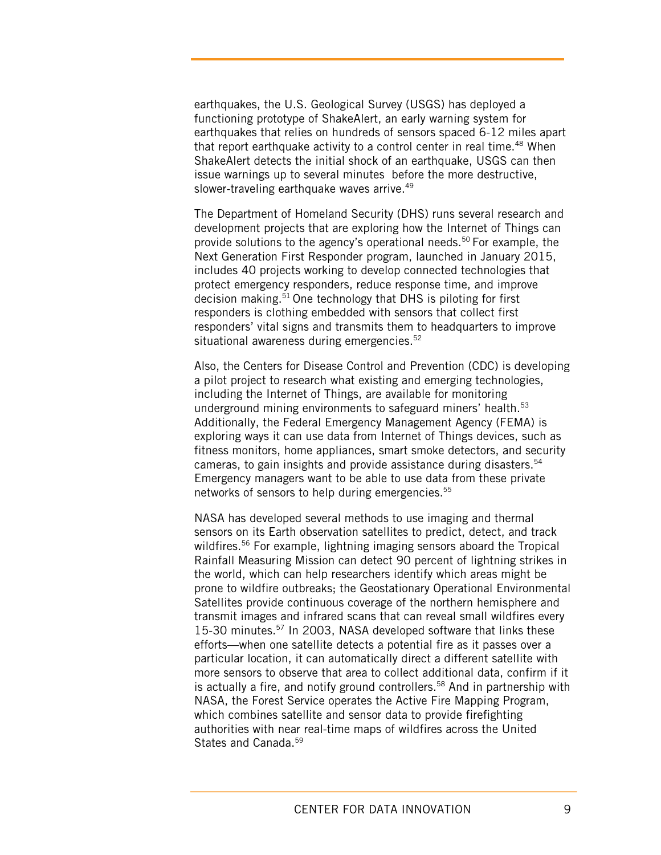earthquakes, the U.S. Geological Survey (USGS) has deployed a functioning prototype of ShakeAlert, an early warning system for earthquakes that relies on hundreds of sensors spaced 6-12 miles apart that report earthquake activity to a control center in real time.<sup>48</sup> When ShakeAlert detects the initial shock of an earthquake, USGS can then issue warnings up to several minutes before the more destructive, slower-traveling earthquake waves arrive.<sup>49</sup>

The Department of Homeland Security (DHS) runs several research and development projects that are exploring how the Internet of Things can provide solutions to the agency's operational needs.50 For example, the Next Generation First Responder program, launched in January 2015, includes 40 projects working to develop connected technologies that protect emergency responders, reduce response time, and improve decision making.51 One technology that DHS is piloting for first responders is clothing embedded with sensors that collect first responders' vital signs and transmits them to headquarters to improve situational awareness during emergencies.<sup>52</sup>

Also, the Centers for Disease Control and Prevention (CDC) is developing a pilot project to research what existing and emerging technologies, including the Internet of Things, are available for monitoring underground mining environments to safeguard miners' health.<sup>53</sup> Additionally, the Federal Emergency Management Agency (FEMA) is exploring ways it can use data from Internet of Things devices, such as fitness monitors, home appliances, smart smoke detectors, and security cameras, to gain insights and provide assistance during disasters.54 Emergency managers want to be able to use data from these private networks of sensors to help during emergencies.<sup>55</sup>

NASA has developed several methods to use imaging and thermal sensors on its Earth observation satellites to predict, detect, and track wildfires.<sup>56</sup> For example, lightning imaging sensors aboard the Tropical Rainfall Measuring Mission can detect 90 percent of lightning strikes in the world, which can help researchers identify which areas might be prone to wildfire outbreaks; the Geostationary Operational Environmental Satellites provide continuous coverage of the northern hemisphere and transmit images and infrared scans that can reveal small wildfires every 15-30 minutes.57 In 2003, NASA developed software that links these efforts—when one satellite detects a potential fire as it passes over a particular location, it can automatically direct a different satellite with more sensors to observe that area to collect additional data, confirm if it is actually a fire, and notify ground controllers.<sup>58</sup> And in partnership with NASA, the Forest Service operates the Active Fire Mapping Program, which combines satellite and sensor data to provide firefighting authorities with near real-time maps of wildfires across the United States and Canada.<sup>59</sup>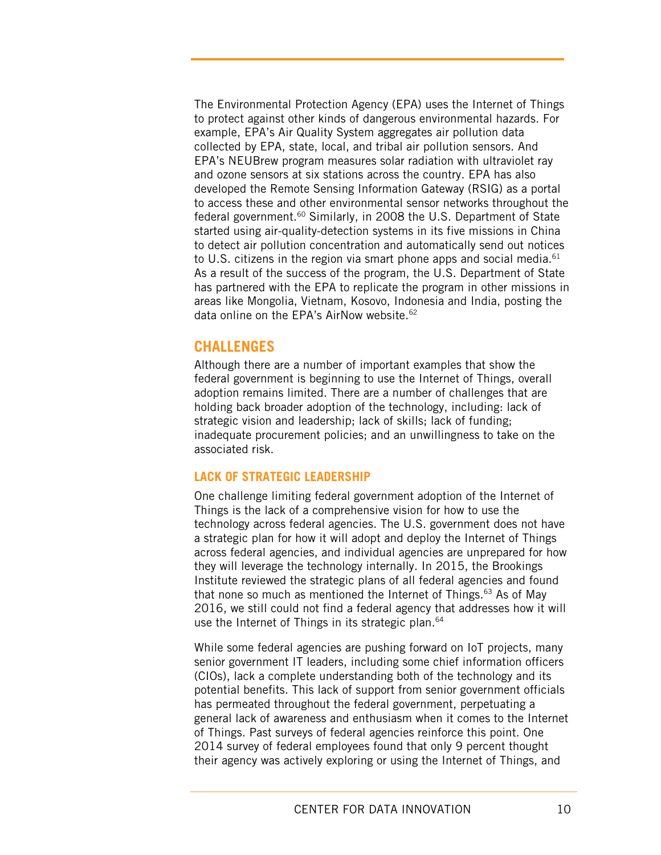The Environmental Protection Agency (EPA) uses the Internet of Things to protect against other kinds of dangerous environmental hazards. For example, EPA's Air Quality System aggregates air pollution data collected by EPA, state, local, and tribal air pollution sensors. And EPA's NEUBrew program measures solar radiation with ultraviolet ray and ozone sensors at six stations across the country. EPA has also developed the Remote Sensing Information Gateway (RSIG) as a portal to access these and other environmental sensor networks throughout the federal government.<sup>60</sup> Similarly, in 2008 the U.S. Department of State started using air-quality-detection systems in its five missions in China to detect air pollution concentration and automatically send out notices to U.S. citizens in the region via smart phone apps and social media. $61$ As a result of the success of the program, the U.S. Department of State has partnered with the EPA to replicate the program in other missions in areas like Mongolia, Vietnam, Kosovo, Indonesia and India, posting the data online on the EPA's AirNow website.<sup>62</sup>

# **CHALLENGES**

Although there are a number of important examples that show the federal government is beginning to use the Internet of Things, overall adoption remains limited. There are a number of challenges that are holding back broader adoption of the technology, including: lack of strategic vision and leadership; lack of skills; lack of funding; inadequate procurement policies; and an unwillingness to take on the associated risk.

# **LACK OF STRATEGIC LEADERSHIP**

One challenge limiting federal government adoption of the Internet of Things is the lack of a comprehensive vision for how to use the technology across federal agencies. The U.S. government does not have a strategic plan for how it will adopt and deploy the Internet of Things across federal agencies, and individual agencies are unprepared for how they will leverage the technology internally. In 2015, the Brookings Institute reviewed the strategic plans of all federal agencies and found that none so much as mentioned the Internet of Things.<sup>63</sup> As of May 2016, we still could not find a federal agency that addresses how it will use the Internet of Things in its strategic plan.<sup>64</sup>

While some federal agencies are pushing forward on IoT projects, many senior government IT leaders, including some chief information officers (CIOs), lack a complete understanding both of the technology and its potential benefits. This lack of support from senior government officials has permeated throughout the federal government, perpetuating a general lack of awareness and enthusiasm when it comes to the Internet of Things. Past surveys of federal agencies reinforce this point. One 2014 survey of federal employees found that only 9 percent thought their agency was actively exploring or using the Internet of Things, and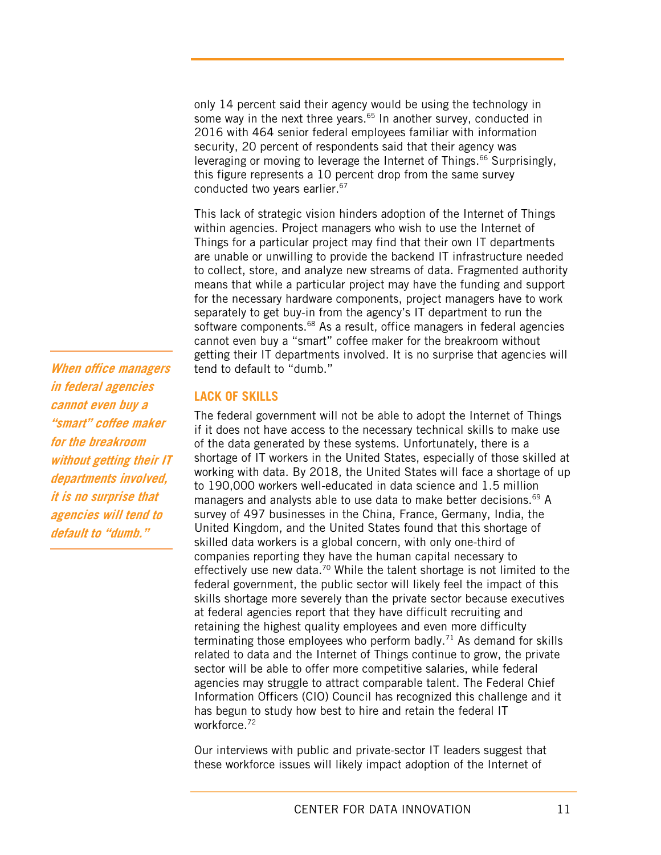only 14 percent said their agency would be using the technology in some way in the next three years.<sup>65</sup> In another survey, conducted in 2016 with 464 senior federal employees familiar with information security, 20 percent of respondents said that their agency was leveraging or moving to leverage the Internet of Things.<sup>66</sup> Surprisingly, this figure represents a 10 percent drop from the same survey conducted two years earlier.<sup>67</sup>

This lack of strategic vision hinders adoption of the Internet of Things within agencies. Project managers who wish to use the Internet of Things for a particular project may find that their own IT departments are unable or unwilling to provide the backend IT infrastructure needed to collect, store, and analyze new streams of data. Fragmented authority means that while a particular project may have the funding and support for the necessary hardware components, project managers have to work separately to get buy-in from the agency's IT department to run the software components.<sup>68</sup> As a result, office managers in federal agencies cannot even buy a "smart" coffee maker for the breakroom without getting their IT departments involved. It is no surprise that agencies will tend to default to "dumb."

**When office managers in federal agencies cannot even buy a "smart" coffee maker for the breakroom without getting their IT departments involved, it is no surprise that agencies will tend to default to "dumb."** 

## **LACK OF SKILLS**

The federal government will not be able to adopt the Internet of Things if it does not have access to the necessary technical skills to make use of the data generated by these systems. Unfortunately, there is a shortage of IT workers in the United States, especially of those skilled at working with data. By 2018, the United States will face a shortage of up to 190,000 workers well-educated in data science and 1.5 million managers and analysts able to use data to make better decisions.<sup>69</sup> A survey of 497 businesses in the China, France, Germany, India, the United Kingdom, and the United States found that this shortage of skilled data workers is a global concern, with only one-third of companies reporting they have the human capital necessary to effectively use new data.<sup>70</sup> While the talent shortage is not limited to the federal government, the public sector will likely feel the impact of this skills shortage more severely than the private sector because executives at federal agencies report that they have difficult recruiting and retaining the highest quality employees and even more difficulty terminating those employees who perform badly.<sup>71</sup> As demand for skills related to data and the Internet of Things continue to grow, the private sector will be able to offer more competitive salaries, while federal agencies may struggle to attract comparable talent. The Federal Chief Information Officers (CIO) Council has recognized this challenge and it has begun to study how best to hire and retain the federal IT workforce.72

Our interviews with public and private-sector IT leaders suggest that these workforce issues will likely impact adoption of the Internet of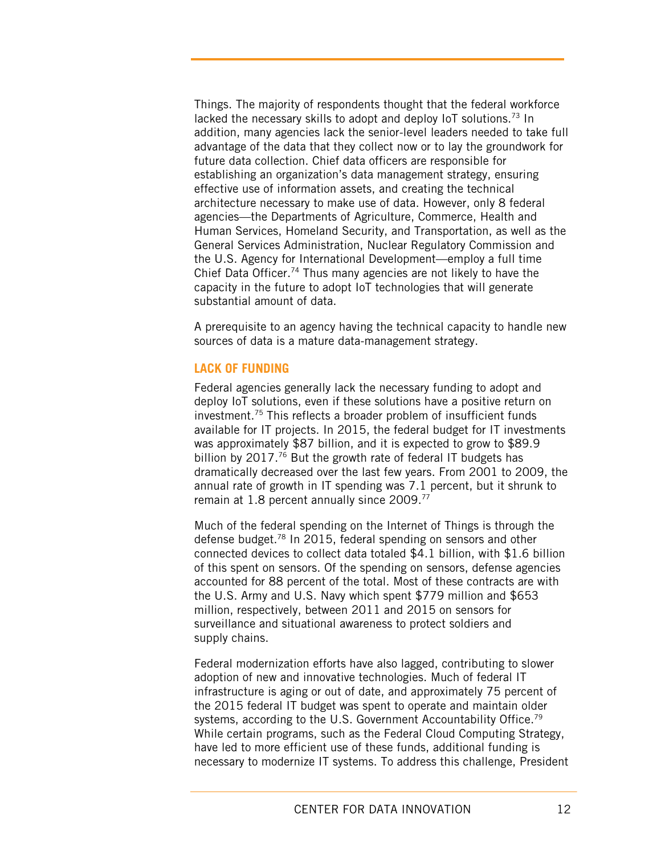Things. The majority of respondents thought that the federal workforce lacked the necessary skills to adopt and deploy IoT solutions.<sup>73</sup> In addition, many agencies lack the senior-level leaders needed to take full advantage of the data that they collect now or to lay the groundwork for future data collection. Chief data officers are responsible for establishing an organization's data management strategy, ensuring effective use of information assets, and creating the technical architecture necessary to make use of data. However, only 8 federal agencies—the Departments of Agriculture, Commerce, Health and Human Services, Homeland Security, and Transportation, as well as the General Services Administration, Nuclear Regulatory Commission and the U.S. Agency for International Development—employ a full time Chief Data Officer.<sup>74</sup> Thus many agencies are not likely to have the capacity in the future to adopt IoT technologies that will generate substantial amount of data.

A prerequisite to an agency having the technical capacity to handle new sources of data is a mature data-management strategy.

#### **LACK OF FUNDING**

Federal agencies generally lack the necessary funding to adopt and deploy IoT solutions, even if these solutions have a positive return on investment.75 This reflects a broader problem of insufficient funds available for IT projects. In 2015, the federal budget for IT investments was approximately \$87 billion, and it is expected to grow to \$89.9 billion by 2017.<sup>76</sup> But the growth rate of federal IT budgets has dramatically decreased over the last few years. From 2001 to 2009, the annual rate of growth in IT spending was 7.1 percent, but it shrunk to remain at 1.8 percent annually since 2009.77

Much of the federal spending on the Internet of Things is through the defense budget.78 In 2015, federal spending on sensors and other connected devices to collect data totaled \$4.1 billion, with \$1.6 billion of this spent on sensors. Of the spending on sensors, defense agencies accounted for 88 percent of the total. Most of these contracts are with the U.S. Army and U.S. Navy which spent \$779 million and \$653 million, respectively, between 2011 and 2015 on sensors for surveillance and situational awareness to protect soldiers and supply chains.

Federal modernization efforts have also lagged, contributing to slower adoption of new and innovative technologies. Much of federal IT infrastructure is aging or out of date, and approximately 75 percent of the 2015 federal IT budget was spent to operate and maintain older systems, according to the U.S. Government Accountability Office.<sup>79</sup> While certain programs, such as the Federal Cloud Computing Strategy, have led to more efficient use of these funds, additional funding is necessary to modernize IT systems. To address this challenge, President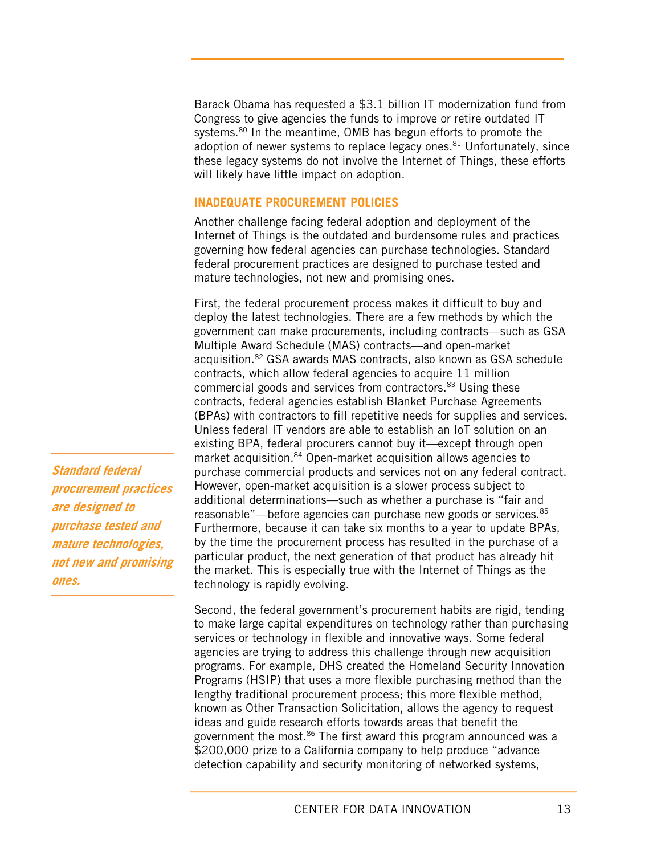Barack Obama has requested a \$3.1 billion IT modernization fund from Congress to give agencies the funds to improve or retire outdated IT systems.<sup>80</sup> In the meantime, OMB has begun efforts to promote the adoption of newer systems to replace legacy ones. $81$  Unfortunately, since these legacy systems do not involve the Internet of Things, these efforts will likely have little impact on adoption.

## **INADEQUATE PROCUREMENT POLICIES**

Another challenge facing federal adoption and deployment of the Internet of Things is the outdated and burdensome rules and practices governing how federal agencies can purchase technologies. Standard federal procurement practices are designed to purchase tested and mature technologies, not new and promising ones.

First, the federal procurement process makes it difficult to buy and deploy the latest technologies. There are a few methods by which the government can make procurements, including contracts—such as GSA Multiple Award Schedule (MAS) contracts—and open-market acquisition.82 GSA awards MAS contracts, also known as GSA schedule contracts, which allow federal agencies to acquire 11 million commercial goods and services from contractors.<sup>83</sup> Using these contracts, federal agencies establish Blanket Purchase Agreements (BPAs) with contractors to fill repetitive needs for supplies and services. Unless federal IT vendors are able to establish an IoT solution on an existing BPA, federal procurers cannot buy it—except through open market acquisition.84 Open-market acquisition allows agencies to purchase commercial products and services not on any federal contract. However, open-market acquisition is a slower process subject to additional determinations—such as whether a purchase is "fair and reasonable"—before agencies can purchase new goods or services.<sup>85</sup> Furthermore, because it can take six months to a year to update BPAs, by the time the procurement process has resulted in the purchase of a particular product, the next generation of that product has already hit the market. This is especially true with the Internet of Things as the technology is rapidly evolving.

Second, the federal government's procurement habits are rigid, tending to make large capital expenditures on technology rather than purchasing services or technology in flexible and innovative ways. Some federal agencies are trying to address this challenge through new acquisition programs. For example, DHS created the Homeland Security Innovation Programs (HSIP) that uses a more flexible purchasing method than the lengthy traditional procurement process; this more flexible method, known as Other Transaction Solicitation, allows the agency to request ideas and guide research efforts towards areas that benefit the government the most.<sup>86</sup> The first award this program announced was a \$200,000 prize to a California company to help produce "advance" detection capability and security monitoring of networked systems,

**Standard federal procurement practices are designed to purchase tested and mature technologies, not new and promising ones.**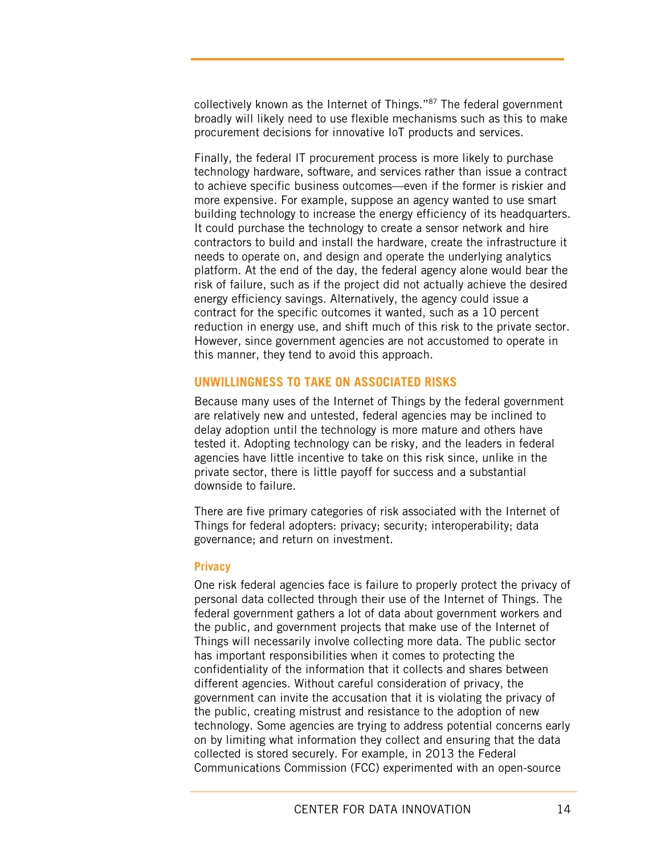collectively known as the Internet of Things."87 The federal government broadly will likely need to use flexible mechanisms such as this to make procurement decisions for innovative IoT products and services.

Finally, the federal IT procurement process is more likely to purchase technology hardware, software, and services rather than issue a contract to achieve specific business outcomes—even if the former is riskier and more expensive. For example, suppose an agency wanted to use smart building technology to increase the energy efficiency of its headquarters. It could purchase the technology to create a sensor network and hire contractors to build and install the hardware, create the infrastructure it needs to operate on, and design and operate the underlying analytics platform. At the end of the day, the federal agency alone would bear the risk of failure, such as if the project did not actually achieve the desired energy efficiency savings. Alternatively, the agency could issue a contract for the specific outcomes it wanted, such as a 10 percent reduction in energy use, and shift much of this risk to the private sector. However, since government agencies are not accustomed to operate in this manner, they tend to avoid this approach.

## **UNWILLINGNESS TO TAKE ON ASSOCIATED RISKS**

Because many uses of the Internet of Things by the federal government are relatively new and untested, federal agencies may be inclined to delay adoption until the technology is more mature and others have tested it. Adopting technology can be risky, and the leaders in federal agencies have little incentive to take on this risk since, unlike in the private sector, there is little payoff for success and a substantial downside to failure.

There are five primary categories of risk associated with the Internet of Things for federal adopters: privacy; security; interoperability; data governance; and return on investment.

#### **Privacy**

One risk federal agencies face is failure to properly protect the privacy of personal data collected through their use of the Internet of Things. The federal government gathers a lot of data about government workers and the public, and government projects that make use of the Internet of Things will necessarily involve collecting more data. The public sector has important responsibilities when it comes to protecting the confidentiality of the information that it collects and shares between different agencies. Without careful consideration of privacy, the government can invite the accusation that it is violating the privacy of the public, creating mistrust and resistance to the adoption of new technology. Some agencies are trying to address potential concerns early on by limiting what information they collect and ensuring that the data collected is stored securely. For example, in 2013 the Federal Communications Commission (FCC) experimented with an open-source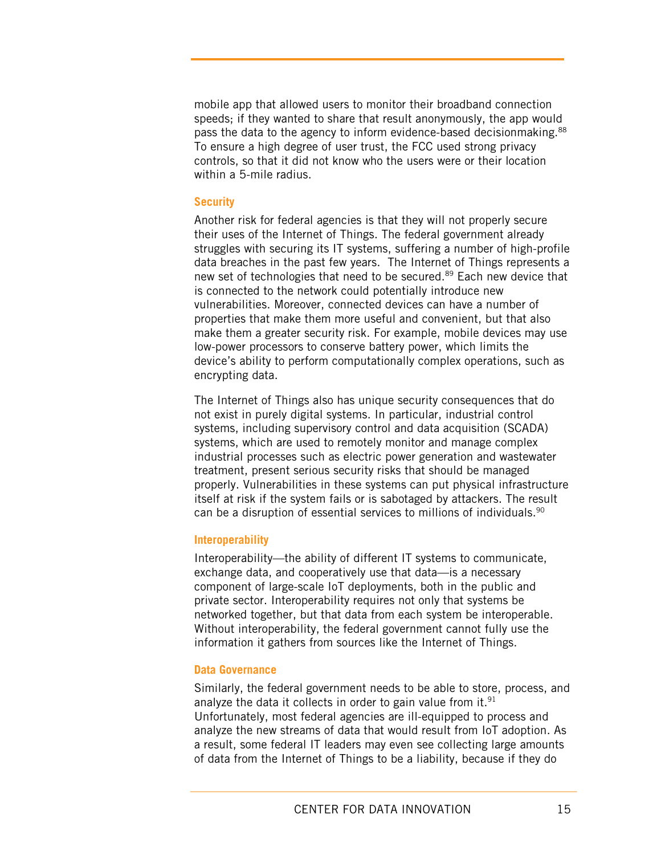mobile app that allowed users to monitor their broadband connection speeds; if they wanted to share that result anonymously, the app would pass the data to the agency to inform evidence-based decisionmaking.<sup>88</sup> To ensure a high degree of user trust, the FCC used strong privacy controls, so that it did not know who the users were or their location within a 5-mile radius.

#### **Security**

Another risk for federal agencies is that they will not properly secure their uses of the Internet of Things. The federal government already struggles with securing its IT systems, suffering a number of high-profile data breaches in the past few years. The Internet of Things represents a new set of technologies that need to be secured.<sup>89</sup> Each new device that is connected to the network could potentially introduce new vulnerabilities. Moreover, connected devices can have a number of properties that make them more useful and convenient, but that also make them a greater security risk. For example, mobile devices may use low-power processors to conserve battery power, which limits the device's ability to perform computationally complex operations, such as encrypting data.

The Internet of Things also has unique security consequences that do not exist in purely digital systems. In particular, industrial control systems, including supervisory control and data acquisition (SCADA) systems, which are used to remotely monitor and manage complex industrial processes such as electric power generation and wastewater treatment, present serious security risks that should be managed properly. Vulnerabilities in these systems can put physical infrastructure itself at risk if the system fails or is sabotaged by attackers. The result can be a disruption of essential services to millions of individuals.<sup>90</sup>

#### **Interoperability**

Interoperability—the ability of different IT systems to communicate, exchange data, and cooperatively use that data—is a necessary component of large-scale IoT deployments, both in the public and private sector. Interoperability requires not only that systems be networked together, but that data from each system be interoperable. Without interoperability, the federal government cannot fully use the information it gathers from sources like the Internet of Things.

#### **Data Governance**

Similarly, the federal government needs to be able to store, process, and analyze the data it collects in order to gain value from it. $91$ Unfortunately, most federal agencies are ill-equipped to process and analyze the new streams of data that would result from IoT adoption. As a result, some federal IT leaders may even see collecting large amounts of data from the Internet of Things to be a liability, because if they do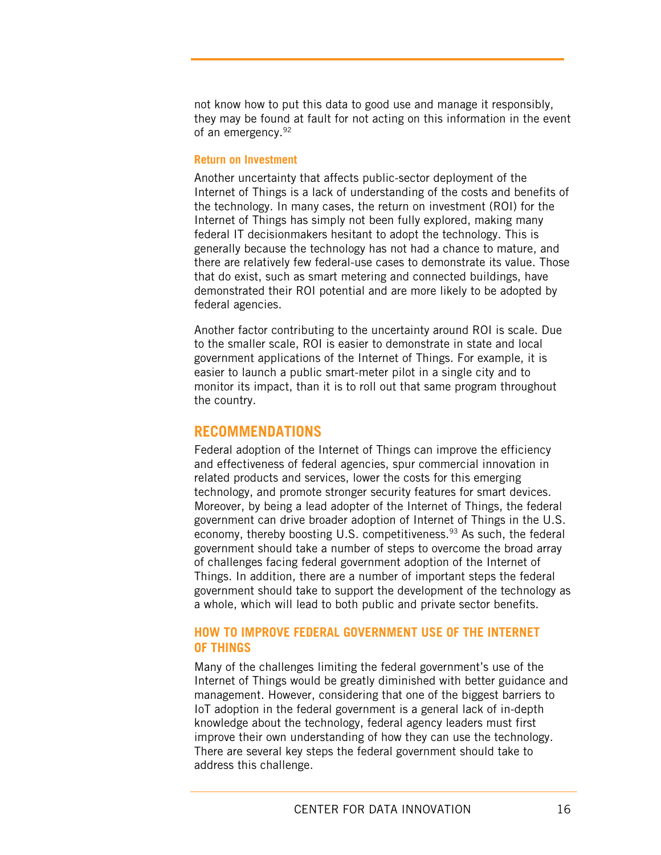not know how to put this data to good use and manage it responsibly, they may be found at fault for not acting on this information in the event of an emergency. 92

#### **Return on Investment**

Another uncertainty that affects public-sector deployment of the Internet of Things is a lack of understanding of the costs and benefits of the technology. In many cases, the return on investment (ROI) for the Internet of Things has simply not been fully explored, making many federal IT decisionmakers hesitant to adopt the technology. This is generally because the technology has not had a chance to mature, and there are relatively few federal-use cases to demonstrate its value. Those that do exist, such as smart metering and connected buildings, have demonstrated their ROI potential and are more likely to be adopted by federal agencies.

Another factor contributing to the uncertainty around ROI is scale. Due to the smaller scale, ROI is easier to demonstrate in state and local government applications of the Internet of Things. For example, it is easier to launch a public smart-meter pilot in a single city and to monitor its impact, than it is to roll out that same program throughout the country.

# **RECOMMENDATIONS**

Federal adoption of the Internet of Things can improve the efficiency and effectiveness of federal agencies, spur commercial innovation in related products and services, lower the costs for this emerging technology, and promote stronger security features for smart devices. Moreover, by being a lead adopter of the Internet of Things, the federal government can drive broader adoption of Internet of Things in the U.S. economy, thereby boosting U.S. competitiveness.<sup>93</sup> As such, the federal government should take a number of steps to overcome the broad array of challenges facing federal government adoption of the Internet of Things. In addition, there are a number of important steps the federal government should take to support the development of the technology as a whole, which will lead to both public and private sector benefits.

# **HOW TO IMPROVE FEDERAL GOVERNMENT USE OF THE INTERNET OF THINGS**

Many of the challenges limiting the federal government's use of the Internet of Things would be greatly diminished with better guidance and management. However, considering that one of the biggest barriers to IoT adoption in the federal government is a general lack of in-depth knowledge about the technology, federal agency leaders must first improve their own understanding of how they can use the technology. There are several key steps the federal government should take to address this challenge.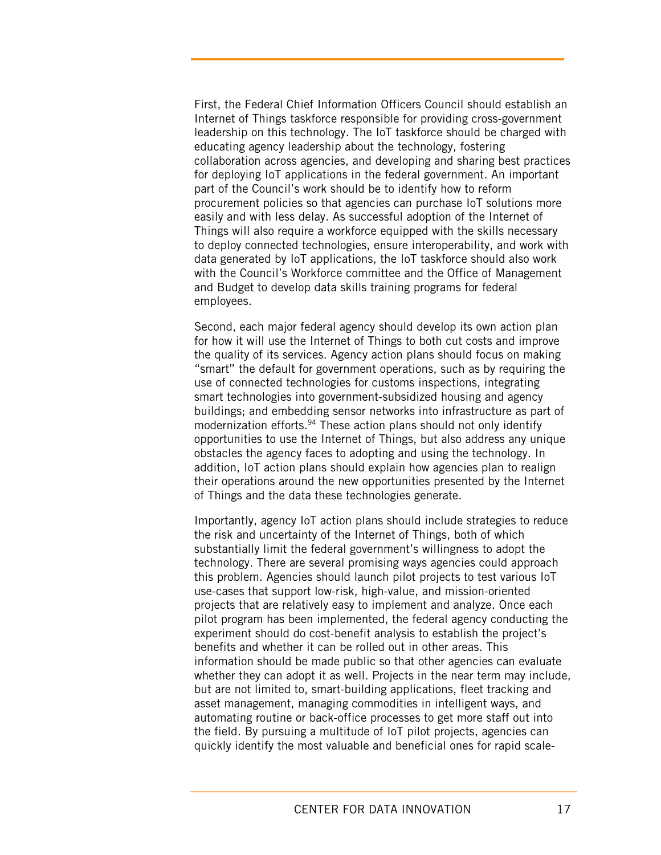First, the Federal Chief Information Officers Council should establish an Internet of Things taskforce responsible for providing cross-government leadership on this technology. The IoT taskforce should be charged with educating agency leadership about the technology, fostering collaboration across agencies, and developing and sharing best practices for deploying IoT applications in the federal government. An important part of the Council's work should be to identify how to reform procurement policies so that agencies can purchase IoT solutions more easily and with less delay. As successful adoption of the Internet of Things will also require a workforce equipped with the skills necessary to deploy connected technologies, ensure interoperability, and work with data generated by IoT applications, the IoT taskforce should also work with the Council's Workforce committee and the Office of Management and Budget to develop data skills training programs for federal employees.

Second, each major federal agency should develop its own action plan for how it will use the Internet of Things to both cut costs and improve the quality of its services. Agency action plans should focus on making "smart" the default for government operations, such as by requiring the use of connected technologies for customs inspections, integrating smart technologies into government-subsidized housing and agency buildings; and embedding sensor networks into infrastructure as part of modernization efforts.<sup>94</sup> These action plans should not only identify opportunities to use the Internet of Things, but also address any unique obstacles the agency faces to adopting and using the technology. In addition, IoT action plans should explain how agencies plan to realign their operations around the new opportunities presented by the Internet of Things and the data these technologies generate.

Importantly, agency IoT action plans should include strategies to reduce the risk and uncertainty of the Internet of Things, both of which substantially limit the federal government's willingness to adopt the technology. There are several promising ways agencies could approach this problem. Agencies should launch pilot projects to test various IoT use-cases that support low-risk, high-value, and mission-oriented projects that are relatively easy to implement and analyze. Once each pilot program has been implemented, the federal agency conducting the experiment should do cost-benefit analysis to establish the project's benefits and whether it can be rolled out in other areas. This information should be made public so that other agencies can evaluate whether they can adopt it as well. Projects in the near term may include, but are not limited to, smart-building applications, fleet tracking and asset management, managing commodities in intelligent ways, and automating routine or back-office processes to get more staff out into the field. By pursuing a multitude of IoT pilot projects, agencies can quickly identify the most valuable and beneficial ones for rapid scale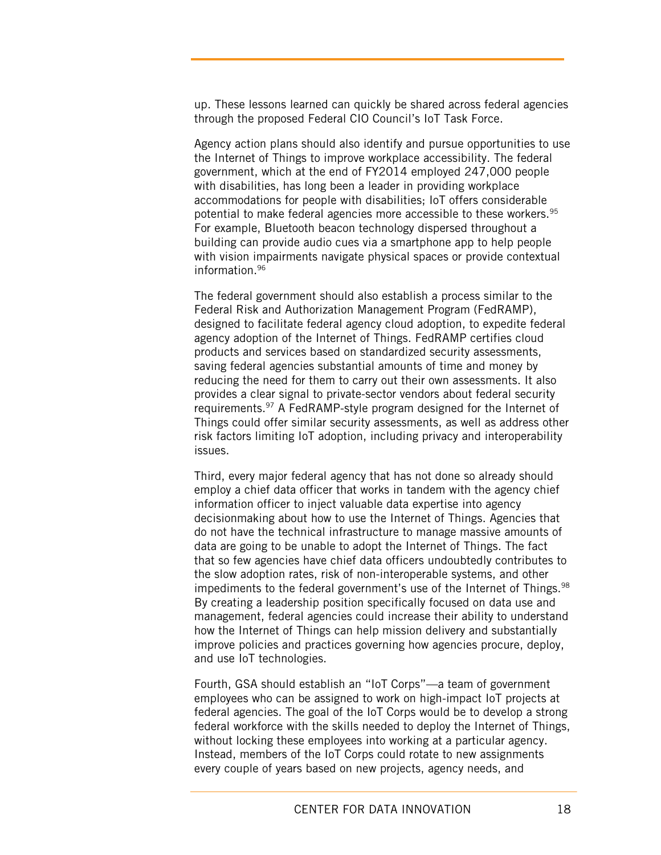up. These lessons learned can quickly be shared across federal agencies through the proposed Federal CIO Council's IoT Task Force.

Agency action plans should also identify and pursue opportunities to use the Internet of Things to improve workplace accessibility. The federal government, which at the end of FY2014 employed 247,000 people with disabilities, has long been a leader in providing workplace accommodations for people with disabilities; IoT offers considerable potential to make federal agencies more accessible to these workers.<sup>95</sup> For example, Bluetooth beacon technology dispersed throughout a building can provide audio cues via a smartphone app to help people with vision impairments navigate physical spaces or provide contextual information.96

The federal government should also establish a process similar to the Federal Risk and Authorization Management Program (FedRAMP), designed to facilitate federal agency cloud adoption, to expedite federal agency adoption of the Internet of Things. FedRAMP certifies cloud products and services based on standardized security assessments, saving federal agencies substantial amounts of time and money by reducing the need for them to carry out their own assessments. It also provides a clear signal to private-sector vendors about federal security requirements.97 A FedRAMP-style program designed for the Internet of Things could offer similar security assessments, as well as address other risk factors limiting IoT adoption, including privacy and interoperability issues.

Third, every major federal agency that has not done so already should employ a chief data officer that works in tandem with the agency chief information officer to inject valuable data expertise into agency decisionmaking about how to use the Internet of Things. Agencies that do not have the technical infrastructure to manage massive amounts of data are going to be unable to adopt the Internet of Things. The fact that so few agencies have chief data officers undoubtedly contributes to the slow adoption rates, risk of non-interoperable systems, and other impediments to the federal government's use of the Internet of Things.<sup>98</sup> By creating a leadership position specifically focused on data use and management, federal agencies could increase their ability to understand how the Internet of Things can help mission delivery and substantially improve policies and practices governing how agencies procure, deploy, and use IoT technologies.

Fourth, GSA should establish an "IoT Corps"—a team of government employees who can be assigned to work on high-impact IoT projects at federal agencies. The goal of the IoT Corps would be to develop a strong federal workforce with the skills needed to deploy the Internet of Things, without locking these employees into working at a particular agency. Instead, members of the IoT Corps could rotate to new assignments every couple of years based on new projects, agency needs, and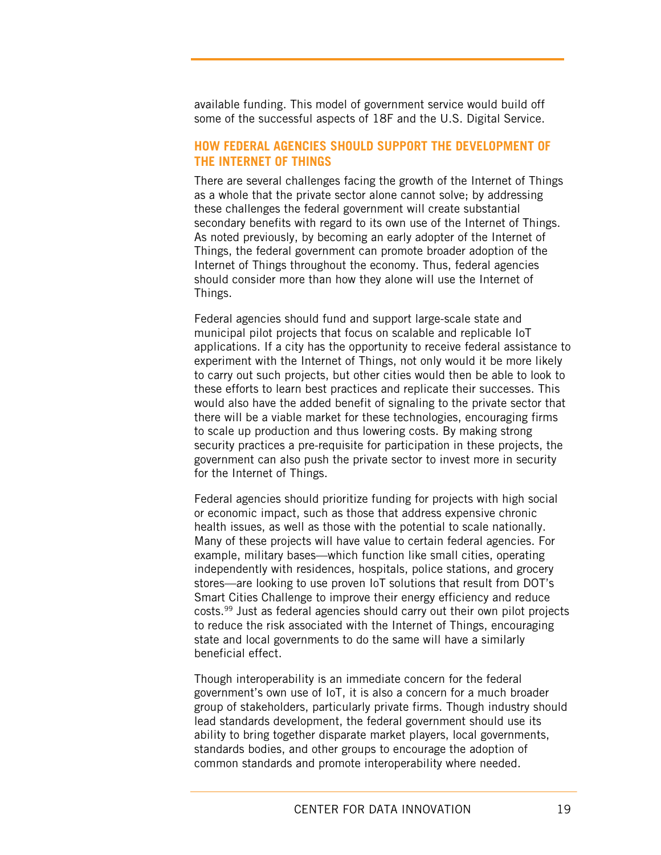available funding. This model of government service would build off some of the successful aspects of 18F and the U.S. Digital Service.

## **HOW FEDERAL AGENCIES SHOULD SUPPORT THE DEVELOPMENT OF THE INTERNET OF THINGS**

There are several challenges facing the growth of the Internet of Things as a whole that the private sector alone cannot solve; by addressing these challenges the federal government will create substantial secondary benefits with regard to its own use of the Internet of Things. As noted previously, by becoming an early adopter of the Internet of Things, the federal government can promote broader adoption of the Internet of Things throughout the economy. Thus, federal agencies should consider more than how they alone will use the Internet of Things.

Federal agencies should fund and support large-scale state and municipal pilot projects that focus on scalable and replicable IoT applications. If a city has the opportunity to receive federal assistance to experiment with the Internet of Things, not only would it be more likely to carry out such projects, but other cities would then be able to look to these efforts to learn best practices and replicate their successes. This would also have the added benefit of signaling to the private sector that there will be a viable market for these technologies, encouraging firms to scale up production and thus lowering costs. By making strong security practices a pre-requisite for participation in these projects, the government can also push the private sector to invest more in security for the Internet of Things.

Federal agencies should prioritize funding for projects with high social or economic impact, such as those that address expensive chronic health issues, as well as those with the potential to scale nationally. Many of these projects will have value to certain federal agencies. For example, military bases—which function like small cities, operating independently with residences, hospitals, police stations, and grocery stores—are looking to use proven IoT solutions that result from DOT's Smart Cities Challenge to improve their energy efficiency and reduce costs.99 Just as federal agencies should carry out their own pilot projects to reduce the risk associated with the Internet of Things, encouraging state and local governments to do the same will have a similarly beneficial effect.

Though interoperability is an immediate concern for the federal government's own use of IoT, it is also a concern for a much broader group of stakeholders, particularly private firms. Though industry should lead standards development, the federal government should use its ability to bring together disparate market players, local governments, standards bodies, and other groups to encourage the adoption of common standards and promote interoperability where needed.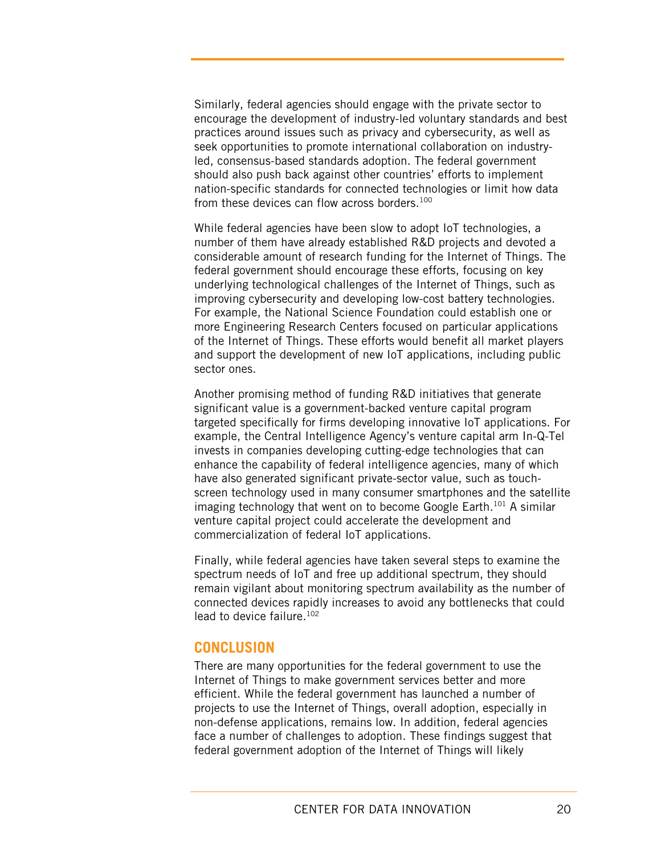Similarly, federal agencies should engage with the private sector to encourage the development of industry-led voluntary standards and best practices around issues such as privacy and cybersecurity, as well as seek opportunities to promote international collaboration on industryled, consensus-based standards adoption. The federal government should also push back against other countries' efforts to implement nation-specific standards for connected technologies or limit how data from these devices can flow across borders.<sup>100</sup>

While federal agencies have been slow to adopt IoT technologies, a number of them have already established R&D projects and devoted a considerable amount of research funding for the Internet of Things. The federal government should encourage these efforts, focusing on key underlying technological challenges of the Internet of Things, such as improving cybersecurity and developing low-cost battery technologies. For example, the National Science Foundation could establish one or more Engineering Research Centers focused on particular applications of the Internet of Things. These efforts would benefit all market players and support the development of new IoT applications, including public sector ones.

Another promising method of funding R&D initiatives that generate significant value is a government-backed venture capital program targeted specifically for firms developing innovative IoT applications. For example, the Central Intelligence Agency's venture capital arm In-Q-Tel invests in companies developing cutting-edge technologies that can enhance the capability of federal intelligence agencies, many of which have also generated significant private-sector value, such as touchscreen technology used in many consumer smartphones and the satellite imaging technology that went on to become Google Earth.<sup>101</sup> A similar venture capital project could accelerate the development and commercialization of federal IoT applications.

Finally, while federal agencies have taken several steps to examine the spectrum needs of IoT and free up additional spectrum, they should remain vigilant about monitoring spectrum availability as the number of connected devices rapidly increases to avoid any bottlenecks that could lead to device failure.102

## **CONCLUSION**

There are many opportunities for the federal government to use the Internet of Things to make government services better and more efficient. While the federal government has launched a number of projects to use the Internet of Things, overall adoption, especially in non-defense applications, remains low. In addition, federal agencies face a number of challenges to adoption. These findings suggest that federal government adoption of the Internet of Things will likely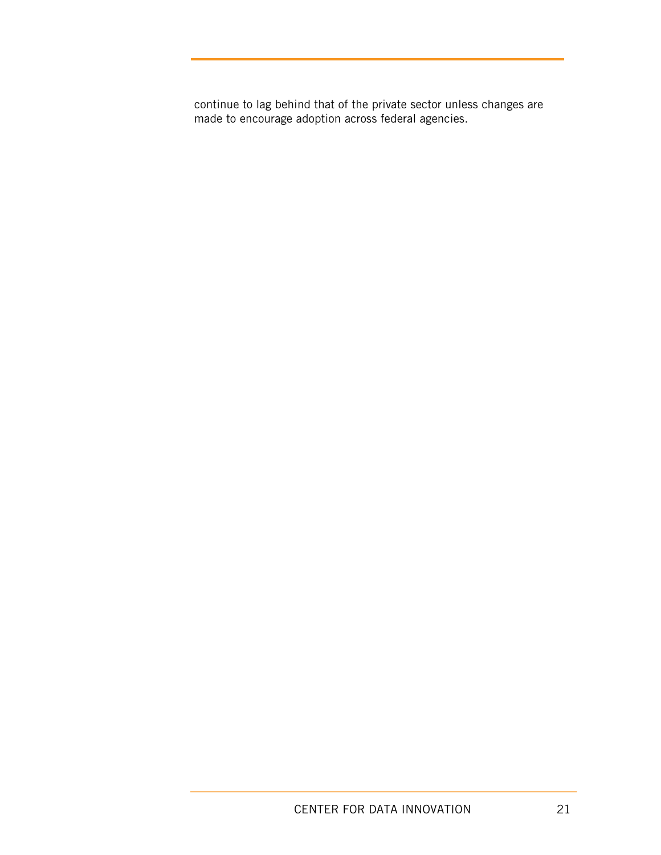continue to lag behind that of the private sector unless changes are made to encourage adoption across federal agencies.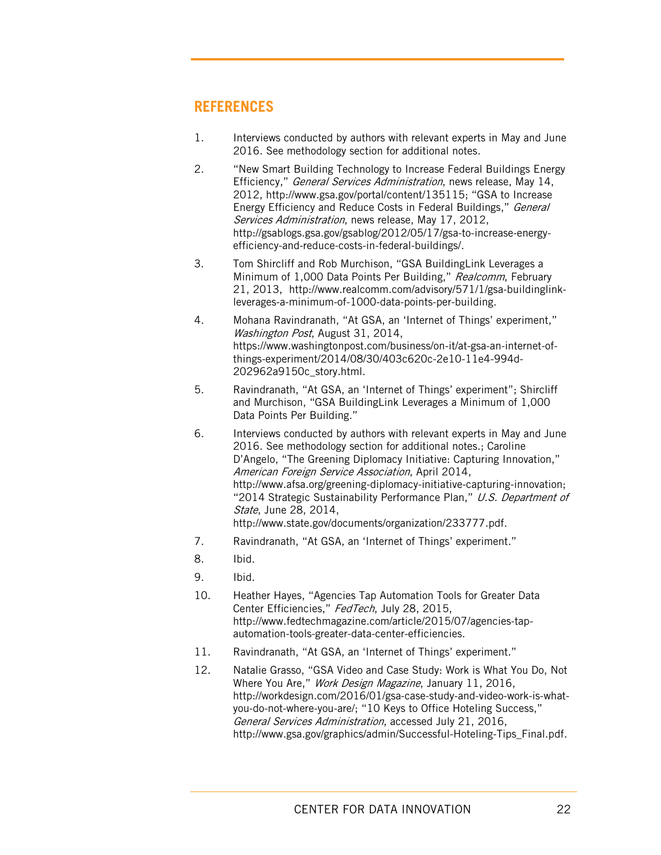# **REFERENCES**

- 1. Interviews conducted by authors with relevant experts in May and June 2016. See methodology section for additional notes.
- 2. "Wew Smart Building Technology to Increase Federal Buildings Energy Efficiency," General Services Administration, news release, May 14, 2012, http://www.gsa.gov/portal/content/135115; "GSA to Increase Energy Efficiency and Reduce Costs in Federal Buildings," General Services Administration, news release, May 17, 2012, http://gsablogs.gsa.gov/gsablog/2012/05/17/gsa-to-increase-energyefficiency-and-reduce-costs-in-federal-buildings/.
- 3. Tom Shircliff and Rob Murchison, "GSA BuildingLink Leverages a Minimum of 1,000 Data Points Per Building," Realcomm, February 21, 2013, http://www.realcomm.com/advisory/571/1/gsa-buildinglinkleverages-a-minimum-of-1000-data-points-per-building.
- 4. Mohana Ravindranath, "At GSA, an 'Internet of Things' experiment," Washington Post, August 31, 2014, https://www.washingtonpost.com/business/on-it/at-gsa-an-internet-ofthings-experiment/2014/08/30/403c620c-2e10-11e4-994d-202962a9150c\_story.html.
- 5. Ravindranath, "At GSA, an 'Internet of Things' experiment"; Shircliff and Murchison, "GSA BuildingLink Leverages a Minimum of 1,000 Data Points Per Building."
- 6. Interviews conducted by authors with relevant experts in May and June 2016. See methodology section for additional notes.; Caroline D'Angelo, "The Greening Diplomacy Initiative: Capturing Innovation," American Foreign Service Association, April 2014, http://www.afsa.org/greening-diplomacy-initiative-capturing-innovation; "2014 Strategic Sustainability Performance Plan," U.S. Department of State, June 28, 2014, http://www.state.gov/documents/organization/233777.pdf.

- 7. Ravindranath, "At GSA, an 'Internet of Things' experiment."
- 8. Ibid.
- 9. Ibid.
- 10. Heather Hayes, "Agencies Tap Automation Tools for Greater Data Center Efficiencies," FedTech, July 28, 2015, http://www.fedtechmagazine.com/article/2015/07/agencies-tapautomation-tools-greater-data-center-efficiencies.
- 11. Ravindranath, "At GSA, an 'Internet of Things' experiment."
- 12. Natalie Grasso, "GSA Video and Case Study: Work is What You Do, Not Where You Are," Work Design Magazine, January 11, 2016, http://workdesign.com/2016/01/gsa-case-study-and-video-work-is-whatyou-do-not-where-you-are/; "10 Keys to Office Hoteling Success," General Services Administration, accessed July 21, 2016, http://www.gsa.gov/graphics/admin/Successful-Hoteling-Tips\_Final.pdf.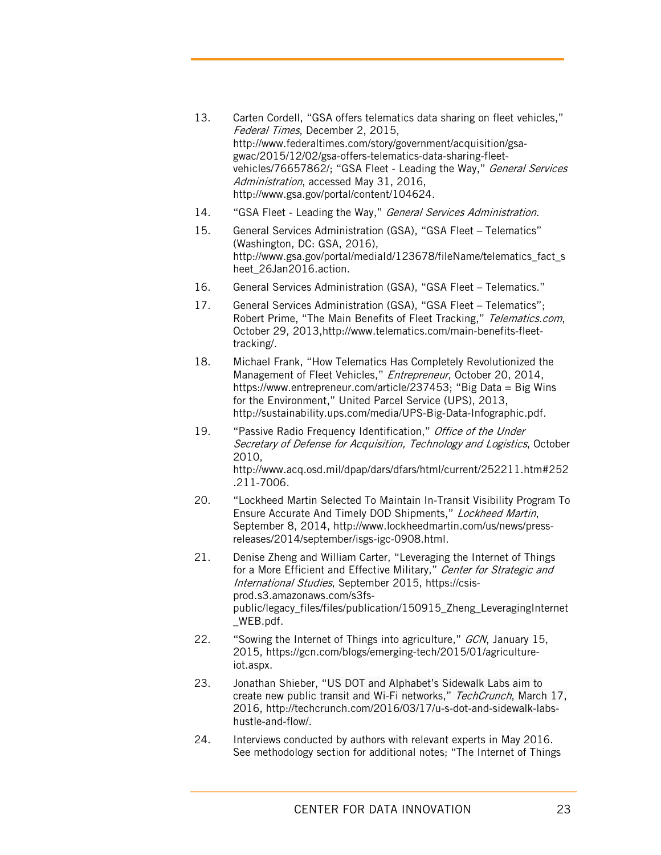- 13. Carten Cordell, "GSA offers telematics data sharing on fleet vehicles," Federal Times, December 2, 2015, http://www.federaltimes.com/story/government/acquisition/gsagwac/2015/12/02/gsa-offers-telematics-data-sharing-fleetvehicles/76657862/; "GSA Fleet - Leading the Way," General Services Administration, accessed May 31, 2016, http://www.gsa.gov/portal/content/104624.
- 14. "GSA Fleet Leading the Way," General Services Administration.
- 15. General Services Administration (GSA), "GSA Fleet Telematics" (Washington, DC: GSA, 2016), http://www.gsa.gov/portal/mediaId/123678/fileName/telematics\_fact\_s heet\_26Jan2016.action.
- 16. General Services Administration (GSA), "GSA Fleet Telematics."
- 17. General Services Administration (GSA), "GSA Fleet Telematics"; Robert Prime, "The Main Benefits of Fleet Tracking," Telematics.com, October 29, 2013,http://www.telematics.com/main-benefits-fleettracking/.
- 18. Michael Frank, "How Telematics Has Completely Revolutionized the Management of Fleet Vehicles," Entrepreneur, October 20, 2014, https://www.entrepreneur.com/article/237453; "Big Data = Big Wins for the Environment," United Parcel Service (UPS), 2013, http://sustainability.ups.com/media/UPS-Big-Data-Infographic.pdf.
- 19. "Passive Radio Frequency Identification," Office of the Under Secretary of Defense for Acquisition, Technology and Logistics, October 2010, http://www.acq.osd.mil/dpap/dars/dfars/html/current/252211.htm#252 .211-7006.
- 20. "Lockheed Martin Selected To Maintain In-Transit Visibility Program To Ensure Accurate And Timely DOD Shipments," Lockheed Martin, September 8, 2014, http://www.lockheedmartin.com/us/news/pressreleases/2014/september/isgs-igc-0908.html.
- 21. Denise Zheng and William Carter, "Leveraging the Internet of Things for a More Efficient and Effective Military," Center for Strategic and International Studies, September 2015, https://csisprod.s3.amazonaws.com/s3fspublic/legacy\_files/files/publication/150915\_Zheng\_LeveragingInternet \_WEB.pdf.
- 22. "Sowing the Internet of Things into agriculture," GCN, January 15, 2015, https://gcn.com/blogs/emerging-tech/2015/01/agricultureiot.aspx.
- 23. Jonathan Shieber, "US DOT and Alphabet's Sidewalk Labs aim to create new public transit and Wi-Fi networks," TechCrunch, March 17, 2016, http://techcrunch.com/2016/03/17/u-s-dot-and-sidewalk-labshustle-and-flow/.
- 24. Interviews conducted by authors with relevant experts in May 2016. See methodology section for additional notes; "The Internet of Things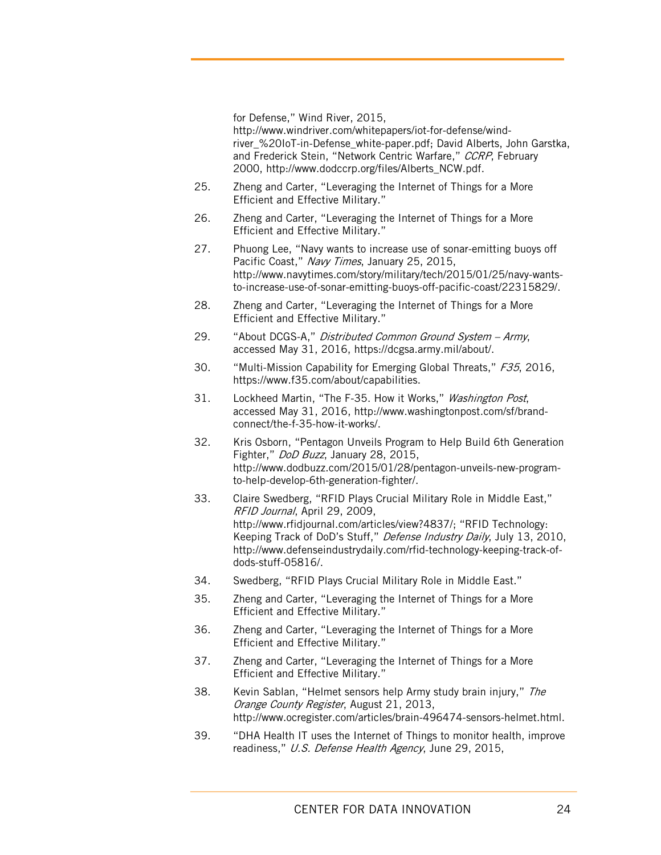for Defense," Wind River, 2015, http://www.windriver.com/whitepapers/iot-for-defense/windriver\_%20IoT-in-Defense\_white-paper.pdf; David Alberts, John Garstka, and Frederick Stein, "Network Centric Warfare," CCRP, February 2000, http://www.dodccrp.org/files/Alberts\_NCW.pdf.

- 25. Zheng and Carter, "Leveraging the Internet of Things for a More Efficient and Effective Military."
- 26. Zheng and Carter, "Leveraging the Internet of Things for a More Efficient and Effective Military."
- 27. Phuong Lee, "Navy wants to increase use of sonar-emitting buoys off Pacific Coast," Navy Times, January 25, 2015, http://www.navytimes.com/story/military/tech/2015/01/25/navy-wantsto-increase-use-of-sonar-emitting-buoys-off-pacific-coast/22315829/.
- 28. Zheng and Carter, "Leveraging the Internet of Things for a More Efficient and Effective Military."
- 29. "About DCGS-A," Distributed Common Ground System Army, accessed May 31, 2016, https://dcgsa.army.mil/about/.
- 30. "Multi-Mission Capability for Emerging Global Threats," F35, 2016, https://www.f35.com/about/capabilities.
- 31. Lockheed Martin, "The F-35. How it Works," Washington Post, accessed May 31, 2016, http://www.washingtonpost.com/sf/brandconnect/the-f-35-how-it-works/.
- 32. Kris Osborn, "Pentagon Unveils Program to Help Build 6th Generation Fighter," DoD Buzz, January 28, 2015, http://www.dodbuzz.com/2015/01/28/pentagon-unveils-new-programto-help-develop-6th-generation-fighter/.
- 33. Claire Swedberg, "RFID Plays Crucial Military Role in Middle East," RFID Journal, April 29, 2009, http://www.rfidjournal.com/articles/view?4837/; "RFID Technology: Keeping Track of DoD's Stuff," Defense Industry Daily, July 13, 2010, http://www.defenseindustrydaily.com/rfid-technology-keeping-track-ofdods-stuff-05816/.
- 34. Swedberg, "RFID Plays Crucial Military Role in Middle East."
- 35. Zheng and Carter, "Leveraging the Internet of Things for a More Efficient and Effective Military."
- 36. Zheng and Carter, "Leveraging the Internet of Things for a More Efficient and Effective Military."
- 37. Zheng and Carter, "Leveraging the Internet of Things for a More Efficient and Effective Military."
- 38. Kevin Sablan, "Helmet sensors help Army study brain injury," The Orange County Register, August 21, 2013, http://www.ocregister.com/articles/brain-496474-sensors-helmet.html.
- 39. "DHA Health IT uses the Internet of Things to monitor health, improve readiness," U.S. Defense Health Agency, June 29, 2015,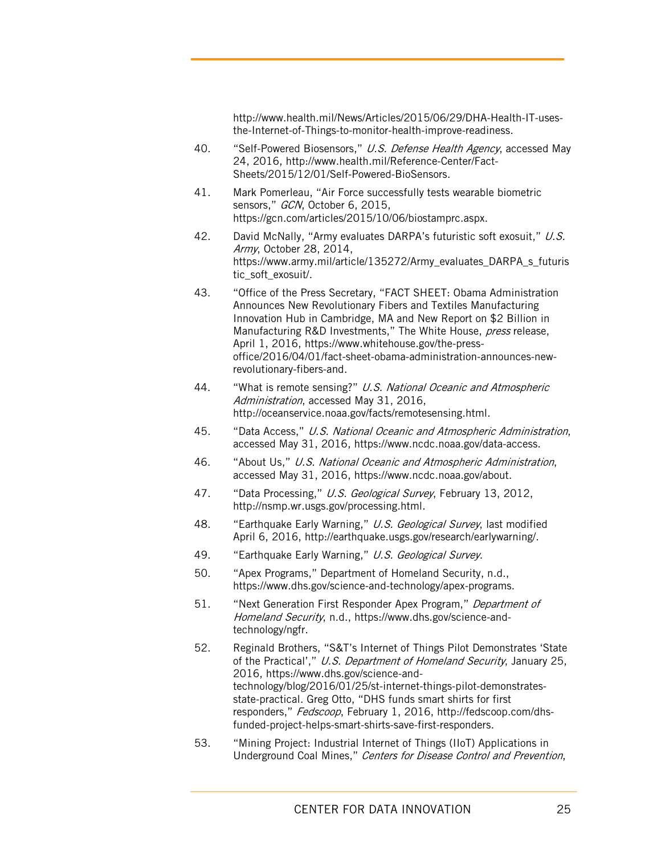http://www.health.mil/News/Articles/2015/06/29/DHA-Health-IT-usesthe-Internet-of-Things-to-monitor-health-improve-readiness.

- 40. "Self-Powered Biosensors," U.S. Defense Health Agency, accessed May 24, 2016, http://www.health.mil/Reference-Center/Fact-Sheets/2015/12/01/Self-Powered-BioSensors.
- 41. Mark Pomerleau, "Air Force successfully tests wearable biometric sensors," GCN, October 6, 2015. https://gcn.com/articles/2015/10/06/biostamprc.aspx.
- 42. David McNally, "Army evaluates DARPA's futuristic soft exosuit," U.S. Army, October 28, 2014, https://www.army.mil/article/135272/Army\_evaluates\_DARPA\_s\_futuris tic\_soft\_exosuit/.
- 43. "Office of the Press Secretary, "FACT SHEET: Obama Administration Announces New Revolutionary Fibers and Textiles Manufacturing Innovation Hub in Cambridge, MA and New Report on \$2 Billion in Manufacturing R&D Investments," The White House, press release, April 1, 2016, https://www.whitehouse.gov/the-pressoffice/2016/04/01/fact-sheet-obama-administration-announces-newrevolutionary-fibers-and.
- 44. "What is remote sensing?" U.S. National Oceanic and Atmospheric Administration, accessed May 31, 2016, http://oceanservice.noaa.gov/facts/remotesensing.html.
- 45. "Data Access," U.S. National Oceanic and Atmospheric Administration, accessed May 31, 2016, https://www.ncdc.noaa.gov/data-access.
- 46. "About Us," U.S. National Oceanic and Atmospheric Administration, accessed May 31, 2016, https://www.ncdc.noaa.gov/about.
- 47. "Data Processing," U.S. Geological Survey, February 13, 2012, http://nsmp.wr.usgs.gov/processing.html.
- 48. "Earthquake Early Warning," U.S. Geological Survey, last modified April 6, 2016, http://earthquake.usgs.gov/research/earlywarning/.
- 49. "Earthquake Early Warning," U.S. Geological Survey.
- 50. "Apex Programs," Department of Homeland Security, n.d., https://www.dhs.gov/science-and-technology/apex-programs.
- 51. "Next Generation First Responder Apex Program," Department of Homeland Security, n.d., https://www.dhs.gov/science-andtechnology/ngfr.
- 52. Reginald Brothers, "S&T's Internet of Things Pilot Demonstrates 'State of the Practical'," U.S. Department of Homeland Security, January 25, 2016, https://www.dhs.gov/science-andtechnology/blog/2016/01/25/st-internet-things-pilot-demonstratesstate-practical. Greg Otto, "DHS funds smart shirts for first responders," Fedscoop, February 1, 2016, http://fedscoop.com/dhsfunded-project-helps-smart-shirts-save-first-responders.
- 53. "Mining Project: Industrial Internet of Things (IIoT) Applications in Underground Coal Mines," Centers for Disease Control and Prevention,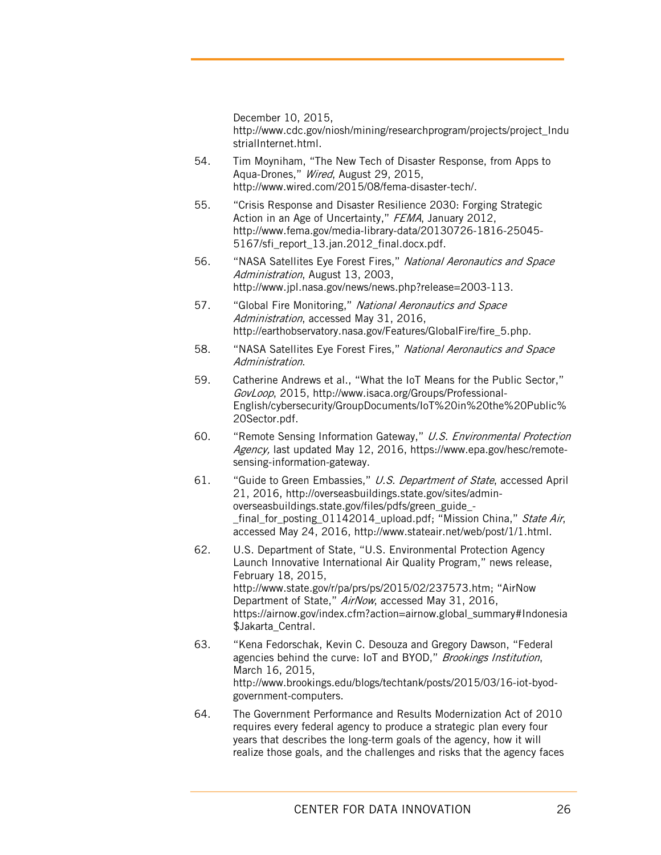December 10, 2015, http://www.cdc.gov/niosh/mining/researchprogram/projects/project\_Indu strialInternet.html.

- 54. Tim Moyniham, "The New Tech of Disaster Response, from Apps to Aqua-Drones," Wired, August 29, 2015, http://www.wired.com/2015/08/fema-disaster-tech/.
- 55. "Crisis Response and Disaster Resilience 2030: Forging Strategic Action in an Age of Uncertainty," FEMA, January 2012, http://www.fema.gov/media-library-data/20130726-1816-25045- 5167/sfi\_report\_13.jan.2012\_final.docx.pdf.
- 56. "NASA Satellites Eye Forest Fires," National Aeronautics and Space Administration, August 13, 2003, http://www.jpl.nasa.gov/news/news.php?release=2003-113.
- 57. "Global Fire Monitoring," National Aeronautics and Space Administration, accessed May 31, 2016, http://earthobservatory.nasa.gov/Features/GlobalFire/fire\_5.php.
- 58. "NASA Satellites Eye Forest Fires," National Aeronautics and Space Administration.
- 59. Catherine Andrews et al., "What the IoT Means for the Public Sector," GovLoop, 2015, http://www.isaca.org/Groups/Professional-English/cybersecurity/GroupDocuments/IoT%20in%20the%20Public% 20Sector.pdf.
- 60. "Remote Sensing Information Gateway," U.S. Environmental Protection Agency, last updated May 12, 2016, https://www.epa.gov/hesc/remotesensing-information-gateway.
- 61. "Guide to Green Embassies," U.S. Department of State, accessed April 21, 2016, http://overseasbuildings.state.gov/sites/adminoverseasbuildings.state.gov/files/pdfs/green\_guide\_- \_final\_for\_posting\_01142014\_upload.pdf; "Mission China," State Air, accessed May 24, 2016, http://www.stateair.net/web/post/1/1.html.
- 62. U.S. Department of State, "U.S. Environmental Protection Agency Launch Innovative International Air Quality Program," news release, February 18, 2015, http://www.state.gov/r/pa/prs/ps/2015/02/237573.htm; "AirNow Department of State," AirNow, accessed May 31, 2016, https://airnow.gov/index.cfm?action=airnow.global\_summary#Indonesia \$Jakarta Central.
- 63. "Kena Fedorschak, Kevin C. Desouza and Gregory Dawson, "Federal agencies behind the curve: IoT and BYOD," Brookings Institution, March 16, 2015, http://www.brookings.edu/blogs/techtank/posts/2015/03/16-iot-byodgovernment-computers.
- 64. The Government Performance and Results Modernization Act of 2010 requires every federal agency to produce a strategic plan every four years that describes the long-term goals of the agency, how it will realize those goals, and the challenges and risks that the agency faces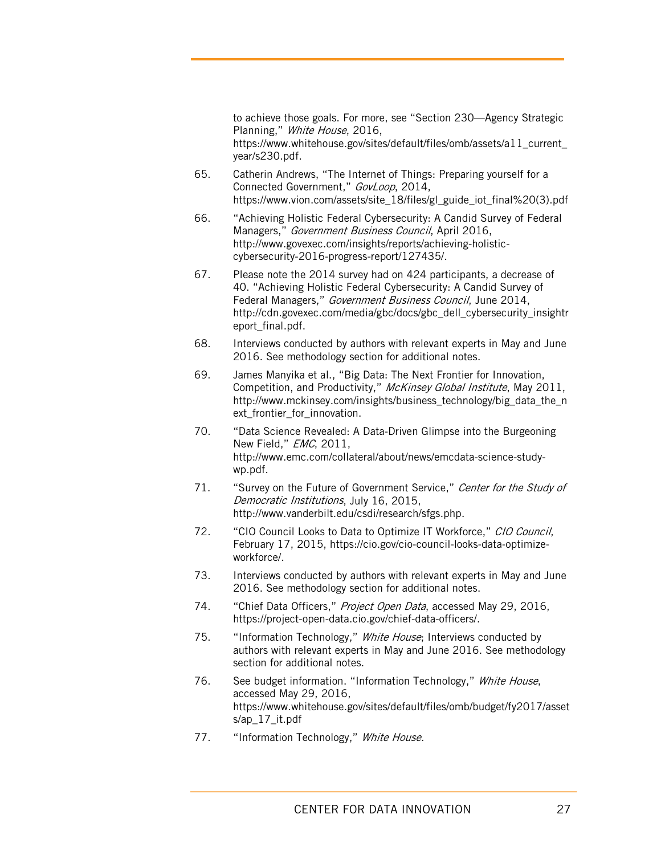to achieve those goals. For more, see "Section 230—Agency Strategic Planning," White House, 2016, https://www.whitehouse.gov/sites/default/files/omb/assets/a11\_current year/s230.pdf.

- 65. Catherin Andrews, "The Internet of Things: Preparing yourself for a Connected Government," GovLoop, 2014, https://www.vion.com/assets/site\_18/files/gl\_guide\_iot\_final%20(3).pdf
- 66. "Achieving Holistic Federal Cybersecurity: A Candid Survey of Federal Managers," Government Business Council, April 2016, http://www.govexec.com/insights/reports/achieving-holisticcybersecurity-2016-progress-report/127435/.
- 67. Please note the 2014 survey had on 424 participants, a decrease of 40. "Achieving Holistic Federal Cybersecurity: A Candid Survey of Federal Managers," Government Business Council, June 2014, http://cdn.govexec.com/media/gbc/docs/gbc\_dell\_cybersecurity\_insightr eport\_final.pdf.
- 68. Interviews conducted by authors with relevant experts in May and June 2016. See methodology section for additional notes.
- 69. James Manyika et al., "Big Data: The Next Frontier for Innovation, Competition, and Productivity," McKinsey Global Institute, May 2011, http://www.mckinsey.com/insights/business\_technology/big\_data\_the\_n ext\_frontier\_for\_innovation.
- 70. "Data Science Revealed: A Data-Driven Glimpse into the Burgeoning New Field," EMC, 2011, http://www.emc.com/collateral/about/news/emcdata-science-studywp.pdf.
- 71. "Survey on the Future of Government Service," Center for the Study of Democratic Institutions, July 16, 2015, http://www.vanderbilt.edu/csdi/research/sfgs.php.
- 72. "CIO Council Looks to Data to Optimize IT Workforce," CIO Council, February 17, 2015, https://cio.gov/cio-council-looks-data-optimizeworkforce/.
- 73. Interviews conducted by authors with relevant experts in May and June 2016. See methodology section for additional notes.
- 74. "Chief Data Officers," Project Open Data, accessed May 29, 2016, https://project-open-data.cio.gov/chief-data-officers/.
- 75. "Information Technology," White House; Interviews conducted by authors with relevant experts in May and June 2016. See methodology section for additional notes.
- 76. See budget information. "Information Technology," White House, accessed May 29, 2016, https://www.whitehouse.gov/sites/default/files/omb/budget/fy2017/asset s/ap\_17\_it.pdf
- 77. "Information Technology," White House.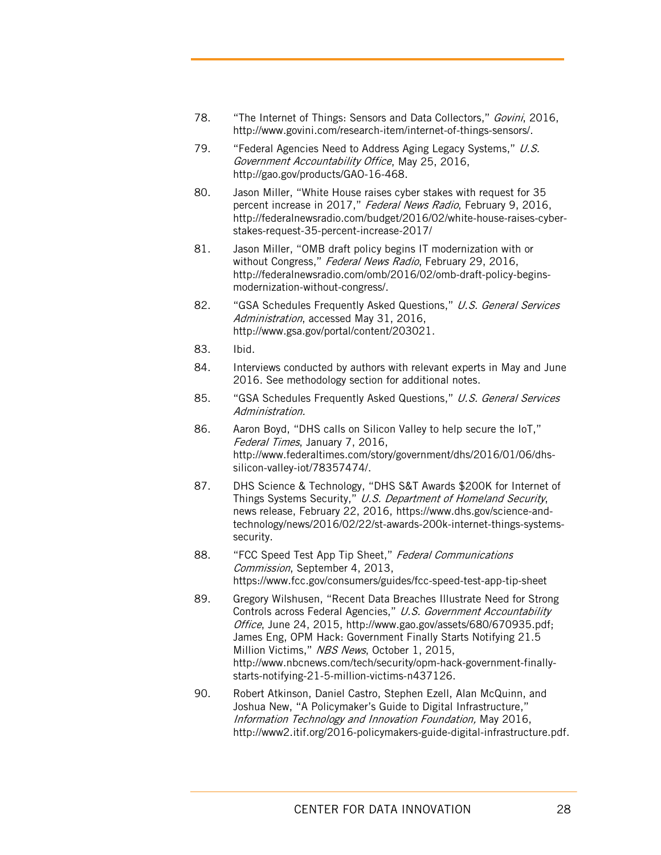- 78. "The Internet of Things: Sensors and Data Collectors," Govini, 2016, http://www.govini.com/research-item/internet-of-things-sensors/.
- 79. "Federal Agencies Need to Address Aging Legacy Systems," U.S. Government Accountability Office, May 25, 2016, http://gao.gov/products/GAO-16-468.
- 80. Jason Miller, "White House raises cyber stakes with request for 35 percent increase in 2017," Federal News Radio, February 9, 2016, http://federalnewsradio.com/budget/2016/02/white-house-raises-cyberstakes-request-35-percent-increase-2017/
- 81. Jason Miller, "OMB draft policy begins IT modernization with or without Congress," Federal News Radio, February 29, 2016. http://federalnewsradio.com/omb/2016/02/omb-draft-policy-beginsmodernization-without-congress/.
- 82. "GSA Schedules Frequently Asked Questions," U.S. General Services Administration, accessed May 31, 2016, http://www.gsa.gov/portal/content/203021.
- 83. Ibid.
- 84. Interviews conducted by authors with relevant experts in May and June 2016. See methodology section for additional notes.
- 85. "GSA Schedules Frequently Asked Questions," U.S. General Services Administration.
- 86. Aaron Boyd, "DHS calls on Silicon Valley to help secure the IoT," Federal Times, January 7, 2016, http://www.federaltimes.com/story/government/dhs/2016/01/06/dhssilicon-valley-iot/78357474/.
- 87. DHS Science & Technology, "DHS S&T Awards \$200K for Internet of Things Systems Security," U.S. Department of Homeland Security, news release, February 22, 2016, https://www.dhs.gov/science-andtechnology/news/2016/02/22/st-awards-200k-internet-things-systemssecurity.
- 88. "FCC Speed Test App Tip Sheet," Federal Communications Commission, September 4, 2013, https://www.fcc.gov/consumers/guides/fcc-speed-test-app-tip-sheet
- 89. Gregory Wilshusen, "Recent Data Breaches Illustrate Need for Strong Controls across Federal Agencies," U.S. Government Accountability Office, June 24, 2015, http://www.gao.gov/assets/680/670935.pdf; James Eng, OPM Hack: Government Finally Starts Notifying 21.5 Million Victims," NBS News, October 1, 2015, http://www.nbcnews.com/tech/security/opm-hack-government-finallystarts-notifying-21-5-million-victims-n437126.
- 90. Robert Atkinson, Daniel Castro, Stephen Ezell, Alan McQuinn, and Joshua New, "A Policymaker's Guide to Digital Infrastructure," Information Technology and Innovation Foundation, May 2016, http://www2.itif.org/2016-policymakers-guide-digital-infrastructure.pdf.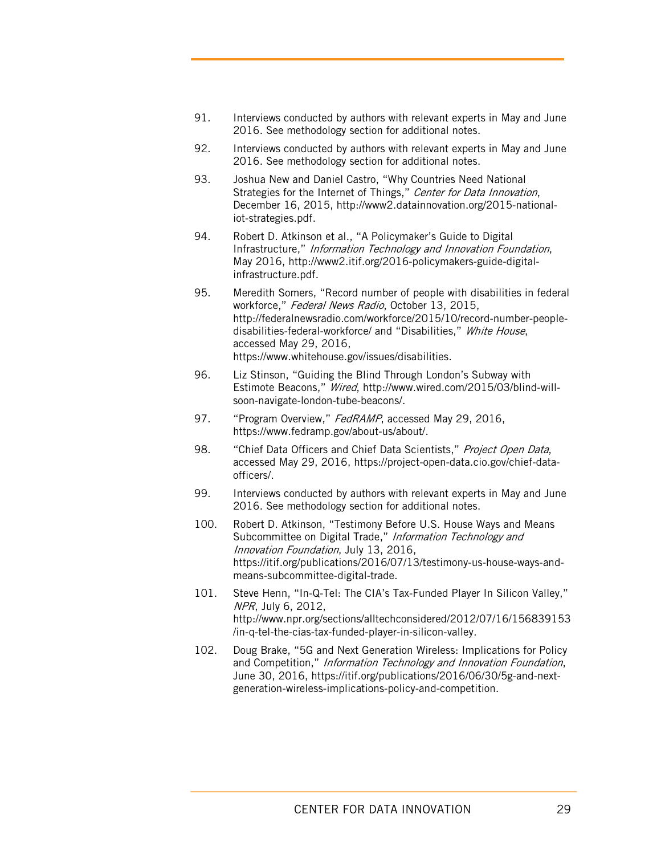- 91. Interviews conducted by authors with relevant experts in May and June 2016. See methodology section for additional notes.
- 92. Interviews conducted by authors with relevant experts in May and June 2016. See methodology section for additional notes.
- 93. Joshua New and Daniel Castro, "Why Countries Need National Strategies for the Internet of Things," Center for Data Innovation, December 16, 2015, http://www2.datainnovation.org/2015-nationaliot-strategies.pdf.
- 94. Robert D. Atkinson et al., "A Policymaker's Guide to Digital Infrastructure," Information Technology and Innovation Foundation, May 2016, http://www2.itif.org/2016-policymakers-guide-digitalinfrastructure.pdf.
- 95. Meredith Somers, "Record number of people with disabilities in federal workforce." Federal News Radio, October 13, 2015, http://federalnewsradio.com/workforce/2015/10/record-number-peopledisabilities-federal-workforce/ and "Disabilities," White House, accessed May 29, 2016, https://www.whitehouse.gov/issues/disabilities.
- 96. Liz Stinson, "Guiding the Blind Through London's Subway with Estimote Beacons," Wired, http://www.wired.com/2015/03/blind-willsoon-navigate-london-tube-beacons/.
- 97. "Program Overview," FedRAMP, accessed May 29, 2016, https://www.fedramp.gov/about-us/about/.
- 98. "Chief Data Officers and Chief Data Scientists," Project Open Data, accessed May 29, 2016, https://project-open-data.cio.gov/chief-dataofficers/.
- 99. Interviews conducted by authors with relevant experts in May and June 2016. See methodology section for additional notes.
- 100. Robert D. Atkinson, "Testimony Before U.S. House Ways and Means Subcommittee on Digital Trade," Information Technology and Innovation Foundation, July 13, 2016, https://itif.org/publications/2016/07/13/testimony-us-house-ways-andmeans-subcommittee-digital-trade.
- 101. Steve Henn, "In-Q-Tel: The CIA's Tax-Funded Player In Silicon Valley," NPR, July 6, 2012, http://www.npr.org/sections/alltechconsidered/2012/07/16/156839153 /in-q-tel-the-cias-tax-funded-player-in-silicon-valley.
- 102. Doug Brake, "5G and Next Generation Wireless: Implications for Policy and Competition," Information Technology and Innovation Foundation, June 30, 2016, https://itif.org/publications/2016/06/30/5g-and-nextgeneration-wireless-implications-policy-and-competition.